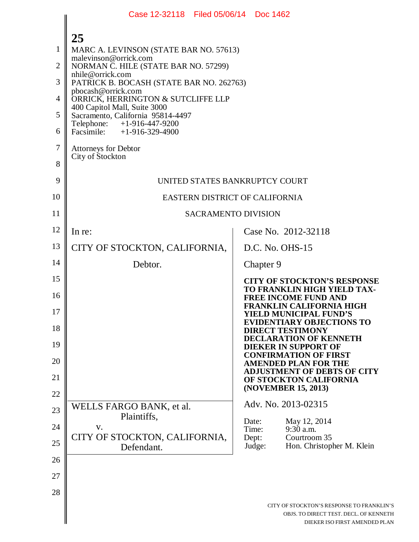|                | Case 12-32118 Filed 05/06/14 Doc 1462                             |                                                                                                                      |  |
|----------------|-------------------------------------------------------------------|----------------------------------------------------------------------------------------------------------------------|--|
|                | 25                                                                |                                                                                                                      |  |
| 1              | MARC A. LEVINSON (STATE BAR NO. 57613)                            |                                                                                                                      |  |
| $\overline{2}$ | malevinson@orrick.com<br>NORMAN C. HILE (STATE BAR NO. 57299)     |                                                                                                                      |  |
| 3              | nhile@orrick.com<br>PATRICK B. BOCASH (STATE BAR NO. 262763)      |                                                                                                                      |  |
| $\overline{4}$ | pbocash@orrick.com<br>ORRICK, HERRINGTON & SUTCLIFFE LLP          |                                                                                                                      |  |
| 5              | 400 Capitol Mall, Suite 3000<br>Sacramento, California 95814-4497 |                                                                                                                      |  |
| 6              | Telephone: +1-916-447-9200<br>Facsimile: +1-916-329-4900          |                                                                                                                      |  |
| 7              | <b>Attorneys for Debtor</b>                                       |                                                                                                                      |  |
| 8              | City of Stockton                                                  |                                                                                                                      |  |
| 9              | UNITED STATES BANKRUPTCY COURT                                    |                                                                                                                      |  |
| 10             | EASTERN DISTRICT OF CALIFORNIA                                    |                                                                                                                      |  |
| 11             | <b>SACRAMENTO DIVISION</b>                                        |                                                                                                                      |  |
| 12             | In re:                                                            | Case No. 2012-32118                                                                                                  |  |
| 13             | CITY OF STOCKTON, CALIFORNIA,                                     | D.C. No. OHS-15                                                                                                      |  |
| 14             | Debtor.                                                           | Chapter 9                                                                                                            |  |
| 15             |                                                                   | <b>CITY OF STOCKTON'S RESPONSE</b><br>TO FRANKLIN HIGH YIELD TAX-                                                    |  |
| 16             |                                                                   | <b>FREE INCOME FUND AND</b><br><b>FRANKLIN CALIFORNIA HIGH</b>                                                       |  |
| 17             |                                                                   | <b>YIELD MUNICIPAL FUND'S</b><br><b>EVIDENTIARY OBJECTIONS TO</b>                                                    |  |
| 18             |                                                                   | <b>DIRECT TESTIMONY</b><br><b>DECLARATION OF KENNETH</b>                                                             |  |
| 19             |                                                                   | <b>DIEKER IN SUPPORT OF</b><br><b>CONFIRMATION OF FIRST</b>                                                          |  |
| 20<br>21       |                                                                   | <b>AMENDED PLAN FOR THE</b><br><b>ADJUSTMENT OF DEBTS OF CITY</b>                                                    |  |
| 22             |                                                                   | OF STOCKTON CALIFORNIA<br>(NOVEMBER 15, 2013)                                                                        |  |
| 23             | WELLS FARGO BANK, et al.                                          | Adv. No. 2013-02315                                                                                                  |  |
| 24             | Plaintiffs,<br>V.                                                 | May 12, 2014<br>Date:<br>9:30 a.m.<br>Time:                                                                          |  |
| 25             | CITY OF STOCKTON, CALIFORNIA,                                     | Courtroom 35<br>Dept:<br>Judge:<br>Hon. Christopher M. Klein                                                         |  |
| 26             | Defendant.                                                        |                                                                                                                      |  |
| 27             |                                                                   |                                                                                                                      |  |
| 28             |                                                                   |                                                                                                                      |  |
|                |                                                                   | CITY OF STOCKTON'S RESPONSE TO FRANKLIN'S<br>OBJS. TO DIRECT TEST. DECL. OF KENNETH<br>DIEKER ISO FIRST AMENDED PLAN |  |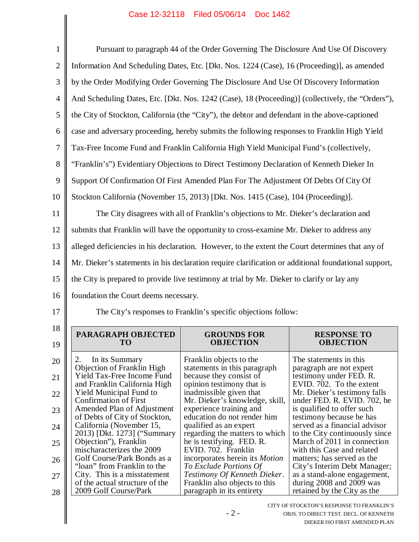| $\mathbf{1}$                                             | Pursuant to paragraph 44 of the Order Governing The Disclosure And Use Of Discovery                  |                                                                                         |                                                                                          |  |
|----------------------------------------------------------|------------------------------------------------------------------------------------------------------|-----------------------------------------------------------------------------------------|------------------------------------------------------------------------------------------|--|
| $\mathbf{2}$                                             | Information And Scheduling Dates, Etc. [Dkt. Nos. 1224 (Case), 16 (Proceeding)], as amended          |                                                                                         |                                                                                          |  |
| 3                                                        | by the Order Modifying Order Governing The Disclosure And Use Of Discovery Information               |                                                                                         |                                                                                          |  |
| $\overline{4}$                                           | And Scheduling Dates, Etc. [Dkt. Nos. 1242 (Case), 18 (Proceeding)] (collectively, the "Orders"),    |                                                                                         |                                                                                          |  |
| 5                                                        | the City of Stockton, California (the "City"), the debtor and defendant in the above-captioned       |                                                                                         |                                                                                          |  |
| 6                                                        | case and adversary proceeding, hereby submits the following responses to Franklin High Yield         |                                                                                         |                                                                                          |  |
| $\overline{7}$                                           | Tax-Free Income Fund and Franklin California High Yield Municipal Fund's (collectively,              |                                                                                         |                                                                                          |  |
| 8                                                        | "Franklin's") Evidentiary Objections to Direct Testimony Declaration of Kenneth Dieker In            |                                                                                         |                                                                                          |  |
| 9                                                        | Support Of Confirmation Of First Amended Plan For The Adjustment Of Debts Of City Of                 |                                                                                         |                                                                                          |  |
| 10                                                       | Stockton California (November 15, 2013) [Dkt. Nos. 1415 (Case), 104 (Proceeding)].                   |                                                                                         |                                                                                          |  |
| 11                                                       |                                                                                                      | The City disagrees with all of Franklin's objections to Mr. Dieker's declaration and    |                                                                                          |  |
| 12                                                       | submits that Franklin will have the opportunity to cross-examine Mr. Dieker to address any           |                                                                                         |                                                                                          |  |
| 13                                                       | alleged deficiencies in his declaration. However, to the extent the Court determines that any of     |                                                                                         |                                                                                          |  |
| 14                                                       | Mr. Dieker's statements in his declaration require clarification or additional foundational support, |                                                                                         |                                                                                          |  |
|                                                          |                                                                                                      |                                                                                         |                                                                                          |  |
|                                                          | the City is prepared to provide live testimony at trial by Mr. Dieker to clarify or lay any          |                                                                                         |                                                                                          |  |
|                                                          | foundation the Court deems necessary.                                                                |                                                                                         |                                                                                          |  |
| 16                                                       |                                                                                                      | The City's responses to Franklin's specific objections follow:                          |                                                                                          |  |
|                                                          |                                                                                                      |                                                                                         |                                                                                          |  |
| 19                                                       | PARAGRAPH OBJECTED<br><b>TO</b>                                                                      | <b>GROUNDS FOR</b><br><b>OBJECTION</b>                                                  | <b>RESPONSE TO</b><br><b>OBJECTION</b>                                                   |  |
|                                                          | 2.<br>In its Summary                                                                                 | Franklin objects to the                                                                 | The statements in this.                                                                  |  |
|                                                          | Objection of Franklin High<br>Yield Tax-Free Income Fund                                             | statements in this paragraph<br>because they consist of                                 | paragraph are not expert<br>testimony under FED. R.                                      |  |
|                                                          | and Franklin California High<br><b>Yield Municipal Fund to</b>                                       | opinion testimony that is<br>inadmissible given that                                    | EVID. 702. To the extent<br>Mr. Dieker's testimony falls                                 |  |
|                                                          | <b>Confirmation of First</b><br>Amended Plan of Adjustment                                           | Mr. Dieker's knowledge, skill,<br>experience training and                               | under FED. R. EVID. 702, he<br>is qualified to offer such                                |  |
|                                                          | of Debts of City of Stockton,<br>California (November 15,                                            | education do not render him<br>qualified as an expert                                   | testimony because he has<br>served as a financial advisor                                |  |
|                                                          | 2013) [Dkt. 1273] ("Summary"<br>Objection"), Franklin                                                | regarding the matters to which<br>he is testifying. FED. R.                             | to the City continuously since<br>March of 2011 in connection                            |  |
| 15<br>17<br>18<br>20<br>21<br>22<br>23<br>24<br>25<br>26 | mischaracterizes the 2009<br>Golf Course/Park Bonds as a                                             | EVID. 702. Franklin<br>incorporates herein its <i>Motion</i>                            | with this Case and related<br>matters; has served as the                                 |  |
| 27                                                       | "loan" from Franklin to the<br>City. This is a misstatement<br>of the actual structure of the        | To Exclude Portions Of<br>Testimony Of Kenneth Dieker.<br>Franklin also objects to this | City's Interim Debt Manager;<br>as a stand-alone engagement,<br>during 2008 and 2009 was |  |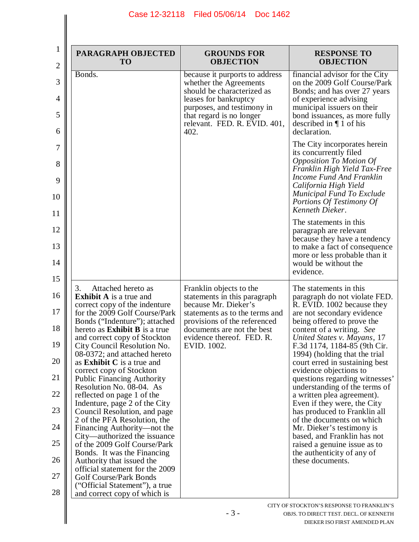|    | <b>PARAGRAPH OBJECTED</b><br><b>TO</b>                                                           | <b>GROUNDS FOR</b><br><b>OBJECTION</b>                                                                                                                                                                            | <b>RESPONSE TO</b><br><b>OBJECTION</b>                                                                                                                                                                                                                    |
|----|--------------------------------------------------------------------------------------------------|-------------------------------------------------------------------------------------------------------------------------------------------------------------------------------------------------------------------|-----------------------------------------------------------------------------------------------------------------------------------------------------------------------------------------------------------------------------------------------------------|
| 6  | Bonds.                                                                                           | because it purports to address<br>whether the Agreements<br>should be characterized as<br>leases for bankruptcy<br>purposes, and testimony in<br>that regard is no longer<br>relevant. FED. R. EVID. 401,<br>402. | financial advisor for the City<br>on the 2009 Golf Course/Park<br>Bonds; and has over 27 years<br>of experience advising<br>municipal issuers on their<br>bond issuances, as more fully<br>described in $\P$ 1 of his<br>declaration.                     |
| 10 |                                                                                                  |                                                                                                                                                                                                                   | The City incorporates herein<br>its concurrently filed<br><b>Opposition To Motion Of</b><br>Franklin High Yield Tax-Free<br>Income Fund And Franklin<br>California High Yield<br>Municipal Fund To Exclude<br>Portions Of Testimony Of<br>Kenneth Dieker. |
|    |                                                                                                  |                                                                                                                                                                                                                   | The statements in this.<br>paragraph are relevant<br>because they have a tendency<br>to make a fact of consequence<br>more or less probable than it<br>would be without the<br>evidence.                                                                  |
| 16 | Attached hereto as<br>3.                                                                         | Franklin objects to the                                                                                                                                                                                           | The statements in this.                                                                                                                                                                                                                                   |
|    | <b>Exhibit A</b> is a true and<br>correct copy of the indenture<br>for the 2009 Golf Course/Park | statements in this paragraph<br>because Mr. Dieker's<br>statements as to the terms and                                                                                                                            | paragraph do not violate FED.<br>R. EVID. 1002 because they<br>are not secondary evidence                                                                                                                                                                 |
|    | Bonds ("Indenture"); attached<br>hereto as <b>Exhibit B</b> is a true                            | provisions of the referenced<br>documents are not the best                                                                                                                                                        | being offered to prove the<br>content of a writing. See                                                                                                                                                                                                   |
|    | and correct copy of Stockton<br>City Council Resolution No.<br>08-0372; and attached hereto      | evidence thereof. FED. R.<br>EVID. 1002.                                                                                                                                                                          | United States v. Mayans, 17<br>F.3d 1174, 1184-85 (9th Cir.<br>1994) (holding that the trial                                                                                                                                                              |
|    | as <b>Exhibit C</b> is a true and<br>correct copy of Stockton                                    |                                                                                                                                                                                                                   | court erred in sustaining best<br>evidence objections to                                                                                                                                                                                                  |
|    | <b>Public Financing Authority</b><br>Resolution No. 08-04. As                                    |                                                                                                                                                                                                                   | questions regarding witnesses'<br>understanding of the terms of                                                                                                                                                                                           |
|    | reflected on page 1 of the<br>Indenture, page 2 of the City<br>Council Resolution, and page      |                                                                                                                                                                                                                   | a written plea agreement).<br>Even if they were, the City<br>has produced to Franklin all                                                                                                                                                                 |
|    | 2 of the PFA Resolution, the<br>Financing Authority—not the                                      |                                                                                                                                                                                                                   | of the documents on which<br>Mr. Dieker's testimony is                                                                                                                                                                                                    |
|    | City—authorized the issuance<br>of the 2009 Golf Course/Park                                     |                                                                                                                                                                                                                   | based, and Franklin has not<br>raised a genuine issue as to                                                                                                                                                                                               |
|    | Bonds. It was the Financing<br>Authority that issued the                                         |                                                                                                                                                                                                                   | the authenticity of any of<br>these documents.                                                                                                                                                                                                            |
|    | official statement for the 2009<br>Golf Course/Park Bonds                                        |                                                                                                                                                                                                                   |                                                                                                                                                                                                                                                           |
|    | ("Official Statement"), a true<br>and correct copy of which is                                   |                                                                                                                                                                                                                   |                                                                                                                                                                                                                                                           |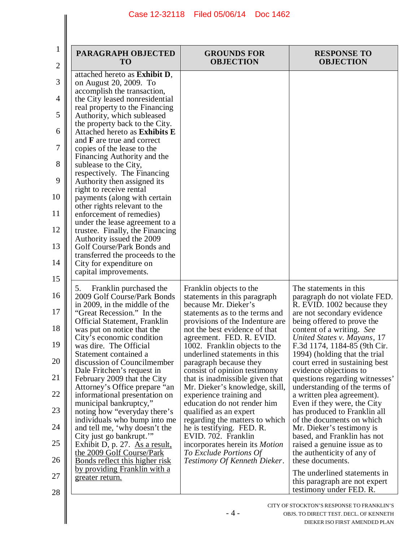| PARAGRAPH OBJECTED<br><b>TO</b>                              | <b>GROUNDS FOR</b><br><b>OBJECTION</b>                           | <b>RESPONSE TO</b><br><b>OBJECTION</b>                    |
|--------------------------------------------------------------|------------------------------------------------------------------|-----------------------------------------------------------|
| attached hereto as Exhibit D,                                |                                                                  |                                                           |
| on August 20, 2009. To                                       |                                                                  |                                                           |
| accomplish the transaction,                                  |                                                                  |                                                           |
| the City leased nonresidential                               |                                                                  |                                                           |
| real property to the Financing<br>Authority, which subleased |                                                                  |                                                           |
| the property back to the City.                               |                                                                  |                                                           |
| Attached hereto as Exhibits E                                |                                                                  |                                                           |
| and <b>F</b> are true and correct                            |                                                                  |                                                           |
| copies of the lease to the                                   |                                                                  |                                                           |
| Financing Authority and the                                  |                                                                  |                                                           |
| sublease to the City,                                        |                                                                  |                                                           |
| respectively. The Financing                                  |                                                                  |                                                           |
| Authority then assigned its<br>right to receive rental       |                                                                  |                                                           |
| payments (along with certain                                 |                                                                  |                                                           |
| other rights relevant to the                                 |                                                                  |                                                           |
| enforcement of remedies)                                     |                                                                  |                                                           |
| under the lease agreement to a                               |                                                                  |                                                           |
| trustee. Finally, the Financing                              |                                                                  |                                                           |
| Authority issued the 2009                                    |                                                                  |                                                           |
| Golf Course/Park Bonds and                                   |                                                                  |                                                           |
| transferred the proceeds to the<br>City for expenditure on   |                                                                  |                                                           |
| capital improvements.                                        |                                                                  |                                                           |
|                                                              |                                                                  |                                                           |
| Franklin purchased the<br>5.                                 | Franklin objects to the                                          | The statements in this.                                   |
| 2009 Golf Course/Park Bonds                                  | statements in this paragraph                                     | paragraph do not violate FED.                             |
| in 2009, in the middle of the                                | because Mr. Dieker's                                             | R. EVID. 1002 because they                                |
| "Great Recession." In the                                    | statements as to the terms and                                   | are not secondary evidence                                |
| <b>Official Statement, Franklin</b>                          | provisions of the Indenture are<br>not the best evidence of that | being offered to prove the                                |
| was put on notice that the<br>City's economic condition      | agreement. FED. R. EVID.                                         | content of a writing. See<br>United States v. Mayans, 17  |
| was dire. The Official                                       | 1002. Franklin objects to the                                    | F.3d 1174, 1184-85 (9th Cir.                              |
| Statement contained a                                        | underlined statements in this                                    | 1994) (holding that the trial                             |
| discussion of Councilmember                                  | paragraph because they                                           | court erred in sustaining best                            |
| Dale Fritchen's request in                                   | consist of opinion testimony                                     | evidence objections to                                    |
| February 2009 that the City                                  | that is inadmissible given that                                  | questions regarding witnesses'                            |
| Attorney's Office prepare "an                                | Mr. Dieker's knowledge, skill,                                   | understanding of the terms of                             |
| informational presentation on<br>municipal bankruptcy,"      | experience training and<br>education do not render him           | a written plea agreement).<br>Even if they were, the City |
| noting how "everyday there's                                 | qualified as an expert                                           | has produced to Franklin all                              |
| individuals who bump into me                                 | regarding the matters to which                                   | of the documents on which                                 |
| and tell me, 'why doesn't the                                | he is testifying. FED. R.                                        | Mr. Dieker's testimony is                                 |
| City just go bankrupt."                                      | EVID. 702. Franklin                                              | based, and Franklin has not                               |
| Exhibit D, p. 27. As a result,                               | incorporates herein its <i>Motion</i>                            | raised a genuine issue as to                              |
| the 2009 Golf Course/Park                                    | To Exclude Portions Of                                           | the authenticity of any of                                |
| <u>Bonds reflect this higher risk</u>                        | Testimony Of Kenneth Dieker.                                     | these documents.                                          |
| <u>by providing Franklin with a</u><br>greater return.       |                                                                  | The underlined statements in                              |
|                                                              |                                                                  | this paragraph are not expert                             |
|                                                              |                                                                  | testimony under FED. R.                                   |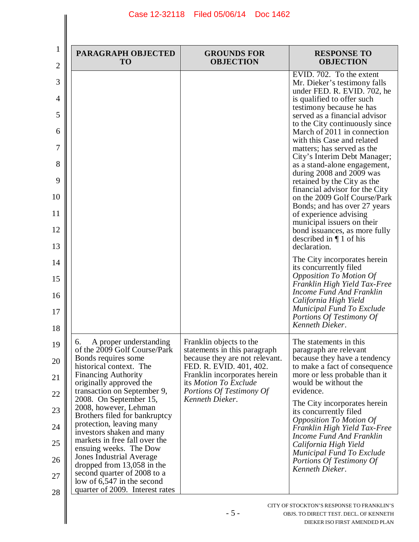$\mathsf{l}$ 

| PARAGRAPH OBJECTED<br><b>TO</b>                                                                                                                                                                                                                                                                                                                                                                                                                                                                                                                                            | <b>GROUNDS FOR</b><br><b>OBJECTION</b>                                                                                                                                                                                       | <b>RESPONSE TO</b><br><b>OBJECTION</b>                                                                                                                                                                                                                                                                                                                                                                                                                                                                                                                                                                                                                                                                                                                                                                                                                                                                                                                  |
|----------------------------------------------------------------------------------------------------------------------------------------------------------------------------------------------------------------------------------------------------------------------------------------------------------------------------------------------------------------------------------------------------------------------------------------------------------------------------------------------------------------------------------------------------------------------------|------------------------------------------------------------------------------------------------------------------------------------------------------------------------------------------------------------------------------|---------------------------------------------------------------------------------------------------------------------------------------------------------------------------------------------------------------------------------------------------------------------------------------------------------------------------------------------------------------------------------------------------------------------------------------------------------------------------------------------------------------------------------------------------------------------------------------------------------------------------------------------------------------------------------------------------------------------------------------------------------------------------------------------------------------------------------------------------------------------------------------------------------------------------------------------------------|
|                                                                                                                                                                                                                                                                                                                                                                                                                                                                                                                                                                            |                                                                                                                                                                                                                              | EVID. 702. To the extent<br>Mr. Dieker's testimony falls<br>under FED. R. EVID. 702, he<br>is qualified to offer such<br>testimony because he has<br>served as a financial advisor<br>to the City continuously since<br>March of 2011 in connection<br>with this Case and related<br>matters; has served as the<br>City's Interim Debt Manager;<br>as a stand-alone engagement,<br>during 2008 and 2009 was<br>retained by the City as the<br>financial advisor for the City<br>on the 2009 Golf Course/Park<br>Bonds; and has over 27 years<br>of experience advising<br>municipal issuers on their<br>bond issuances, as more fully<br>described in $\P$ 1 of his<br>declaration.<br>The City incorporates herein<br>its concurrently filed<br><b>Opposition To Motion Of</b><br>Franklin High Yield Tax-Free<br><b>Income Fund And Franklin</b><br>California High Yield<br>Municipal Fund To Exclude<br>Portions Of Testimony Of<br>Kenneth Dieker. |
| A proper understanding<br>6.<br>of the 2009 Golf Course/Park<br>Bonds requires some<br>historical context. The<br><b>Financing Authority</b><br>originally approved the<br>transaction on September 9,<br>2008. On September 15,<br>2008, however, Lehman<br>Brothers filed for bankruptcy<br>protection, leaving many<br>investors shaken and many<br>markets in free fall over the<br>ensuing weeks. The Dow<br>Jones Industrial Average<br>dropped from 13,058 in the<br>second quarter of 2008 to a<br>low of $6,547$ in the second<br>quarter of 2009. Interest rates | Franklin objects to the<br>statements in this paragraph<br>because they are not relevant.<br>FED. R. EVID. 401, 402.<br>Franklin incorporates herein<br>its Motion To Exclude<br>Portions Of Testimony Of<br>Kenneth Dieker. | The statements in this.<br>paragraph are relevant<br>because they have a tendency<br>to make a fact of consequence<br>more or less probable than it<br>would be without the<br>evidence.<br>The City incorporates herein<br>its concurrently filed<br><b>Opposition To Motion Of</b><br>Franklin High Yield Tax-Free<br><b>Income Fund And Franklin</b><br>California High Yield<br>Municipal Fund To Exclude<br>Portions Of Testimony Of<br>Kenneth Dieker.                                                                                                                                                                                                                                                                                                                                                                                                                                                                                            |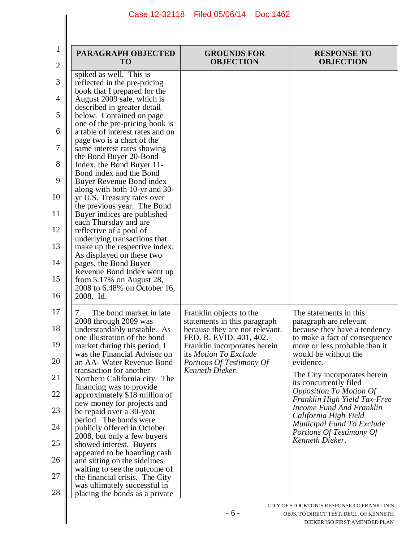| spiked as well. This is<br>reflected in the pre-pricing<br>book that I prepared for the<br>August 2009 sale, which is<br>described in greater detail                                                                                                                                                                                                                                                                                                                                                                                                                                                                                                                                                                          |                                                                                                                                                                                                                              |                                                                                                                                                                                                                                                                                                                                                                                                                                                       |
|-------------------------------------------------------------------------------------------------------------------------------------------------------------------------------------------------------------------------------------------------------------------------------------------------------------------------------------------------------------------------------------------------------------------------------------------------------------------------------------------------------------------------------------------------------------------------------------------------------------------------------------------------------------------------------------------------------------------------------|------------------------------------------------------------------------------------------------------------------------------------------------------------------------------------------------------------------------------|-------------------------------------------------------------------------------------------------------------------------------------------------------------------------------------------------------------------------------------------------------------------------------------------------------------------------------------------------------------------------------------------------------------------------------------------------------|
| below. Contained on page<br>one of the pre-pricing book is<br>a table of interest rates and on<br>page two is a chart of the<br>same interest rates showing<br>the Bond Buyer 20-Bond<br>Index, the Bond Buyer 11-<br>Bond index and the Bond<br>Buyer Revenue Bond index<br>along with both 10-yr and 30-<br>yr U.S. Treasury rates over<br>the previous year. The Bond<br>Buyer indices are published<br>each Thursday and are<br>reflective of a pool of<br>underlying transactions that<br>make up the respective index.<br>As displayed on these two<br>pages, the Bond Buyer<br>Revenue Bond Index went up<br>from $5.17\%$ on August 28,<br>2008 to 6.48% on October 16,<br>2008. Id.                                  |                                                                                                                                                                                                                              |                                                                                                                                                                                                                                                                                                                                                                                                                                                       |
| The bond market in late<br>7.<br>2008 through 2009 was<br>understandably unstable. As<br>one illustration of the bond<br>market during this period, I<br>was the Financial Advisor on<br>an AA- Water Revenue Bond<br>transaction for another<br>Northern California city. The<br>financing was to provide<br>approximately \$18 million of<br>new money for projects and<br>be repaid over a 30-year<br>period. The bonds were<br>publicly offered in October<br>2008, but only a few buyers<br>showed interest. Buyers<br>appeared to be hoarding cash<br>and sitting on the sidelines<br>waiting to see the outcome of<br>the financial crisis. The City<br>was ultimately successful in<br>placing the bonds as a private | Franklin objects to the<br>statements in this paragraph<br>because they are not relevant.<br>FED. R. EVID. 401, 402.<br>Franklin incorporates herein<br>its Motion To Exclude<br>Portions Of Testimony Of<br>Kenneth Dieker. | The statements in this.<br>paragraph are relevant<br>because they have a tendency<br>to make a fact of consequence<br>more or less probable than it<br>would be without the<br>evidence.<br>The City incorporates herein<br>its concurrently filed<br><b>Opposition To Motion Of</b><br>Franklin High Yield Tax-Free<br>Income Fund And Franklin<br>California High Yield<br>Municipal Fund To Exclude<br>Portions Of Testimony Of<br>Kenneth Dieker. |
|                                                                                                                                                                                                                                                                                                                                                                                                                                                                                                                                                                                                                                                                                                                               |                                                                                                                                                                                                                              | CITY OF STOCKTON'S RESPONSE TO FRANKLIN'S<br>$-6-$<br>OBJS. TO DIRECT TEST. DECL. OF KENNETH                                                                                                                                                                                                                                                                                                                                                          |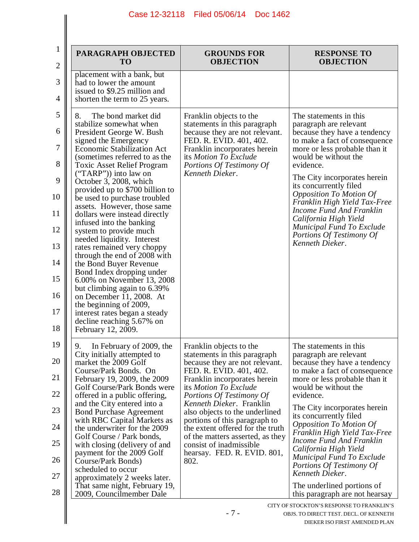| PARAGRAPH OBJECTED<br><b>TO</b>                                                                                                                                                                                                                                                                                                                                                                                                                                                                                                                                                                                                                                                                                                                                                                                            | <b>GROUNDS FOR</b><br><b>OBJECTION</b>                                                                                                                                                                                                                                                                                                                                                                                                             | <b>RESPONSE TO</b><br><b>OBJECTION</b>                                                                                                                                                                                                                                                                                                                                                                                                                                                                                |
|----------------------------------------------------------------------------------------------------------------------------------------------------------------------------------------------------------------------------------------------------------------------------------------------------------------------------------------------------------------------------------------------------------------------------------------------------------------------------------------------------------------------------------------------------------------------------------------------------------------------------------------------------------------------------------------------------------------------------------------------------------------------------------------------------------------------------|----------------------------------------------------------------------------------------------------------------------------------------------------------------------------------------------------------------------------------------------------------------------------------------------------------------------------------------------------------------------------------------------------------------------------------------------------|-----------------------------------------------------------------------------------------------------------------------------------------------------------------------------------------------------------------------------------------------------------------------------------------------------------------------------------------------------------------------------------------------------------------------------------------------------------------------------------------------------------------------|
| placement with a bank, but<br>had to lower the amount<br>issued to \$9.25 million and<br>shorten the term to 25 years.                                                                                                                                                                                                                                                                                                                                                                                                                                                                                                                                                                                                                                                                                                     |                                                                                                                                                                                                                                                                                                                                                                                                                                                    |                                                                                                                                                                                                                                                                                                                                                                                                                                                                                                                       |
| The bond market did<br>8.<br>stabilize somewhat when<br>President George W. Bush<br>signed the Emergency<br><b>Economic Stabilization Act</b><br>(sometimes referred to as the<br><b>Toxic Asset Relief Program</b><br>$("TARP")$ into law on<br>October 3, 2008, which<br>provided up to \$700 billion to<br>be used to purchase troubled<br>assets. However, those same<br>dollars were instead directly<br>infused into the banking<br>system to provide much<br>needed liquidity. Interest<br>rates remained very choppy<br>through the end of 2008 with<br>the Bond Buyer Revenue<br>Bond Index dropping under<br>6.00% on November 13, 2008<br>but climbing again to 6.39%<br>on December 11, 2008. At<br>the beginning of 2009,<br>interest rates began a steady<br>decline reaching 5.67% on<br>February 12, 2009. | Franklin objects to the<br>statements in this paragraph<br>because they are not relevant.<br>FED. R. EVID. 401, 402.<br>Franklin incorporates herein<br>its Motion To Exclude<br>Portions Of Testimony Of<br>Kenneth Dieker.                                                                                                                                                                                                                       | The statements in this<br>paragraph are relevant<br>because they have a tendency<br>to make a fact of consequence<br>more or less probable than it<br>would be without the<br>evidence.<br>The City incorporates herein<br>its concurrently filed<br><b>Opposition To Motion Of</b><br>Franklin High Yield Tax-Free<br><b>Income Fund And Franklin</b><br>California High Yield<br>Municipal Fund To Exclude<br>Portions Of Testimony Of<br>Kenneth Dieker.                                                           |
| 9.<br>In February of 2009, the<br>City initially attempted to<br>market the 2009 Golf<br>Course/Park Bonds. On<br>February 19, 2009, the 2009<br>Golf Course/Park Bonds were<br>offered in a public offering,<br>and the City entered into a<br><b>Bond Purchase Agreement</b><br>with RBC Capital Markets as<br>the underwriter for the 2009<br>Golf Course / Park bonds,<br>with closing (delivery of and<br>payment for the 2009 Golf<br>Course/Park Bonds)<br>scheduled to occur<br>approximately 2 weeks later.<br>That same night, February 19,<br>2009, Councilmember Dale                                                                                                                                                                                                                                          | Franklin objects to the<br>statements in this paragraph<br>because they are not relevant.<br>FED. R. EVID. 401, 402.<br>Franklin incorporates herein<br>its Motion To Exclude<br>Portions Of Testimony Of<br>Kenneth Dieker. Franklin<br>also objects to the underlined<br>portions of this paragraph to<br>the extent offered for the truth<br>of the matters asserted, as they<br>consist of inadmissible<br>hearsay. FED. R. EVID. 801,<br>802. | The statements in this.<br>paragraph are relevant<br>because they have a tendency<br>to make a fact of consequence<br>more or less probable than it<br>would be without the<br>evidence.<br>The City incorporates herein<br>its concurrently filed<br><b>Opposition To Motion Of</b><br>Franklin High Yield Tax-Free<br>Income Fund And Franklin<br>California High Yield<br>Municipal Fund To Exclude<br>Portions Of Testimony Of<br>Kenneth Dieker.<br>The underlined portions of<br>this paragraph are not hearsay |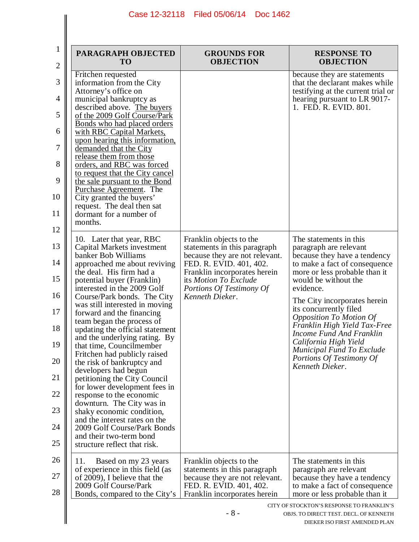| PARAGRAPH OBJECTED<br><b>TO</b>                                                                                                                                                                                                                                                                                                                                                                                                                                                                                                                                                                                                                                                                                                                                                                           | <b>GROUNDS FOR</b><br><b>OBJECTION</b>                                                                                                                                                                                       | <b>RESPONSE TO</b><br><b>OBJECTION</b>                                                                                                                                                                                                                                                                                                                                                                                                                |
|-----------------------------------------------------------------------------------------------------------------------------------------------------------------------------------------------------------------------------------------------------------------------------------------------------------------------------------------------------------------------------------------------------------------------------------------------------------------------------------------------------------------------------------------------------------------------------------------------------------------------------------------------------------------------------------------------------------------------------------------------------------------------------------------------------------|------------------------------------------------------------------------------------------------------------------------------------------------------------------------------------------------------------------------------|-------------------------------------------------------------------------------------------------------------------------------------------------------------------------------------------------------------------------------------------------------------------------------------------------------------------------------------------------------------------------------------------------------------------------------------------------------|
| Fritchen requested<br>information from the City<br>Attorney's office on<br>municipal bankruptcy as<br>described above. The buyers<br>of the 2009 Golf Course/Park<br>Bonds who had placed orders<br>with RBC Capital Markets,<br>upon hearing this information,<br>demanded that the City<br>release them from those<br>orders, and RBC was forced<br>to request that the City cancel<br>the sale pursuant to the Bond<br>Purchase Agreement. The                                                                                                                                                                                                                                                                                                                                                         |                                                                                                                                                                                                                              | because they are statements<br>that the declarant makes while<br>testifying at the current trial or<br>hearing pursuant to LR 9017-<br>1. FED. R. EVID. 801.                                                                                                                                                                                                                                                                                          |
| City granted the buyers'<br>request. The deal then sat<br>dormant for a number of<br>months.                                                                                                                                                                                                                                                                                                                                                                                                                                                                                                                                                                                                                                                                                                              |                                                                                                                                                                                                                              |                                                                                                                                                                                                                                                                                                                                                                                                                                                       |
| 10. Later that year, RBC<br>Capital Markets investment<br>banker Bob Williams<br>approached me about reviving<br>the deal. His firm had a<br>potential buyer (Franklin)<br>interested in the 2009 Golf<br>Course/Park bonds. The City<br>was still interested in moving<br>forward and the financing<br>team began the process of<br>updating the official statement<br>and the underlying rating. By<br>that time, Councilmember<br>Fritchen had publicly raised<br>the risk of bankruptcy and<br>developers had begun<br>petitioning the City Council<br>for lower development fees in<br>response to the economic<br>downturn. The City was in<br>shaky economic condition,<br>and the interest rates on the<br>2009 Golf Course/Park Bonds<br>and their two-term bond<br>structure reflect that risk. | Franklin objects to the<br>statements in this paragraph<br>because they are not relevant.<br>FED. R. EVID. 401, 402.<br>Franklin incorporates herein<br>its Motion To Exclude<br>Portions Of Testimony Of<br>Kenneth Dieker. | The statements in this.<br>paragraph are relevant<br>because they have a tendency<br>to make a fact of consequence<br>more or less probable than it<br>would be without the<br>evidence.<br>The City incorporates herein<br>its concurrently filed<br><b>Opposition To Motion Of</b><br>Franklin High Yield Tax-Free<br>Income Fund And Franklin<br>California High Yield<br>Municipal Fund To Exclude<br>Portions Of Testimony Of<br>Kenneth Dieker. |
| 11.<br>Based on my 23 years<br>of experience in this field (as<br>of 2009), I believe that the<br>2009 Golf Course/Park<br>Bonds, compared to the City's                                                                                                                                                                                                                                                                                                                                                                                                                                                                                                                                                                                                                                                  | Franklin objects to the<br>statements in this paragraph<br>because they are not relevant.<br>FED. R. EVID. 401, 402.<br>Franklin incorporates herein                                                                         | The statements in this<br>paragraph are relevant<br>because they have a tendency<br>to make a fact of consequence<br>more or less probable than it                                                                                                                                                                                                                                                                                                    |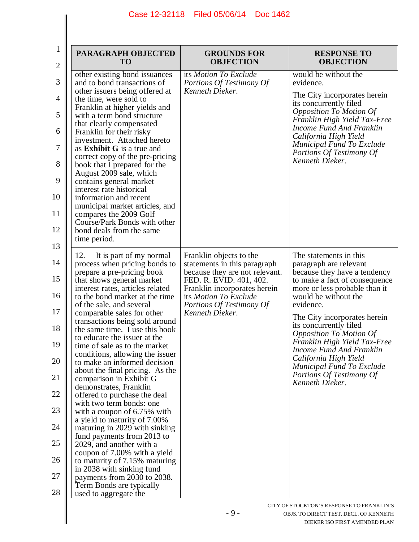$\mathsf{l}$ 

| $\mathbf{1}$<br>$\overline{c}$ | PARAGRAPH OBJECTED<br>T <sub>O</sub>                                                         | <b>GROUNDS FOR</b><br><b>OBJECTION</b>                    | <b>RESPONSE TO</b><br><b>OBJECTION</b>                                                     |
|--------------------------------|----------------------------------------------------------------------------------------------|-----------------------------------------------------------|--------------------------------------------------------------------------------------------|
| 3                              | other existing bond issuances<br>and to bond transactions of                                 | its Motion To Exclude<br>Portions Of Testimony Of         | would be without the<br>evidence.                                                          |
| 4                              | other issuers being offered at<br>the time, were sold to<br>Franklin at higher yields and    | Kenneth Dieker.                                           | The City incorporates herein<br>its concurrently filed                                     |
| 5                              | with a term bond structure<br>that clearly compensated                                       |                                                           | <b>Opposition To Motion Of</b><br>Franklin High Yield Tax-Free<br>Income Fund And Franklin |
| 6<br>7                         | Franklin for their risky<br>investment. Attached hereto<br>as <b>Exhibit G</b> is a true and |                                                           | California High Yield<br><b>Municipal Fund To Exclude</b>                                  |
| 8                              | correct copy of the pre-pricing<br>book that I prepared for the                              |                                                           | Portions Of Testimony Of<br>Kenneth Dieker.                                                |
| 9                              | August 2009 sale, which<br>contains general market                                           |                                                           |                                                                                            |
| 10                             | interest rate historical<br>information and recent<br>municipal market articles, and         |                                                           |                                                                                            |
| 11                             | compares the 2009 Golf<br>Course/Park Bonds with other                                       |                                                           |                                                                                            |
| 12                             | bond deals from the same<br>time period.                                                     |                                                           |                                                                                            |
| 13<br>14                       | 12.<br>It is part of my normal<br>process when pricing bonds to                              | Franklin objects to the<br>statements in this paragraph   | The statements in this<br>paragraph are relevant                                           |
| 15                             | prepare a pre-pricing book<br>that shows general market                                      | because they are not relevant.<br>FED. R. EVID. 401, 402. | because they have a tendency<br>to make a fact of consequence                              |
| 16                             | interest rates, articles related<br>to the bond market at the time                           | Franklin incorporates herein<br>its Motion To Exclude     | more or less probable than it<br>would be without the                                      |
| 17                             | of the sale, and several<br>comparable sales for other<br>transactions being sold around     | Portions Of Testimony Of<br>Kenneth Dieker.               | evidence.<br>The City incorporates herein                                                  |
| 18                             | the same time. I use this book<br>to educate the issuer at the                               |                                                           | its concurrently filed<br><b>Opposition To Motion Of</b>                                   |
| 19                             | time of sale as to the market<br>conditions, allowing the issuer                             |                                                           | Franklin High Yield Tax-Free<br>Income Fund And Franklin<br>California High Yield          |
| 20<br>21                       | to make an informed decision<br>about the final pricing. As the<br>comparison in Exhibit G   |                                                           | Municipal Fund To Exclude<br>Portions Of Testimony Of                                      |
| 22                             | demonstrates, Franklin<br>offered to purchase the deal                                       |                                                           | Kenneth Dieker.                                                                            |
| 23                             | with two term bonds: one<br>with a coupon of $6.75\%$ with                                   |                                                           |                                                                                            |
| 24                             | a yield to maturity of 7.00%<br>maturing in 2029 with sinking<br>fund payments from 2013 to  |                                                           |                                                                                            |
| 25                             | 2029, and another with a<br>coupon of 7.00% with a yield                                     |                                                           |                                                                                            |
| 26                             | to maturity of 7.15% maturing<br>in 2038 with sinking fund                                   |                                                           |                                                                                            |
| 27<br>28                       | payments from 2030 to 2038.<br>Term Bonds are typically<br>used to aggregate the             |                                                           |                                                                                            |
|                                |                                                                                              |                                                           | CITY OF STOCKTON'S RESPONSE TO FRANKLIN'S                                                  |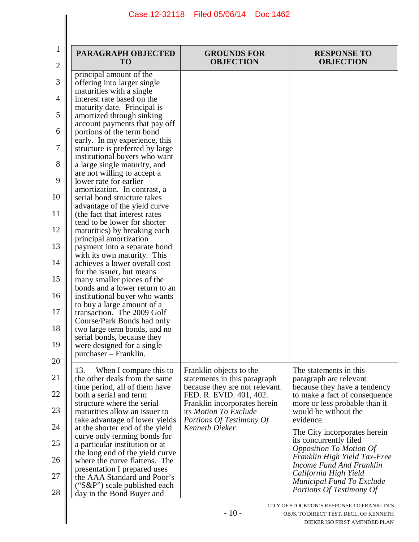| PARAGRAPH OBJECTED<br><b>TO</b>                                                                                                                                                                                                                                                                                                                                                                                                                                                                                                                                                                                                                                                                                                                                                                                                                                                                                                                                                                                                                           | <b>GROUNDS FOR</b><br><b>OBJECTION</b>                                                                                                                                                     | <b>RESPONSE TO</b><br><b>OBJECTION</b>                                                         |
|-----------------------------------------------------------------------------------------------------------------------------------------------------------------------------------------------------------------------------------------------------------------------------------------------------------------------------------------------------------------------------------------------------------------------------------------------------------------------------------------------------------------------------------------------------------------------------------------------------------------------------------------------------------------------------------------------------------------------------------------------------------------------------------------------------------------------------------------------------------------------------------------------------------------------------------------------------------------------------------------------------------------------------------------------------------|--------------------------------------------------------------------------------------------------------------------------------------------------------------------------------------------|------------------------------------------------------------------------------------------------|
| principal amount of the<br>offering into larger single<br>maturities with a single<br>interest rate based on the<br>maturity date. Principal is<br>amortized through sinking<br>account payments that pay off<br>portions of the term bond<br>early. In my experience, this<br>structure is preferred by large<br>institutional buyers who want<br>a large single maturity, and<br>are not willing to accept a<br>lower rate for earlier<br>amortization. In contrast, a<br>serial bond structure takes<br>advantage of the yield curve<br>(the fact that interest rates)<br>tend to be lower for shorter<br>maturities) by breaking each<br>principal amortization<br>payment into a separate bond<br>with its own maturity. This<br>achieves a lower overall cost<br>for the issuer, but means<br>many smaller pieces of the<br>bonds and a lower return to an<br>institutional buyer who wants<br>to buy a large amount of a<br>transaction. The 2009 Golf<br>Course/Park Bonds had only<br>two large term bonds, and no<br>serial bonds, because they |                                                                                                                                                                                            |                                                                                                |
| 13.<br>When I compare this to                                                                                                                                                                                                                                                                                                                                                                                                                                                                                                                                                                                                                                                                                                                                                                                                                                                                                                                                                                                                                             | Franklin objects to the                                                                                                                                                                    | The statements in this<br>paragraph are relevant                                               |
| time period, all of them have<br>both a serial and term<br>structure where the serial                                                                                                                                                                                                                                                                                                                                                                                                                                                                                                                                                                                                                                                                                                                                                                                                                                                                                                                                                                     | because they are not relevant.<br>FED. R. EVID. 401, 402.<br>Franklin incorporates herein                                                                                                  | because they have a tendency<br>to make a fact of consequence<br>more or less probable than it |
| maturities allow an issuer to<br>take advantage of lower yields                                                                                                                                                                                                                                                                                                                                                                                                                                                                                                                                                                                                                                                                                                                                                                                                                                                                                                                                                                                           | its Motion To Exclude<br>Portions Of Testimony Of                                                                                                                                          | would be without the<br>evidence.                                                              |
| curve only terming bonds for                                                                                                                                                                                                                                                                                                                                                                                                                                                                                                                                                                                                                                                                                                                                                                                                                                                                                                                                                                                                                              |                                                                                                                                                                                            | The City incorporates herein<br>its concurrently filed                                         |
| the long end of the yield curve                                                                                                                                                                                                                                                                                                                                                                                                                                                                                                                                                                                                                                                                                                                                                                                                                                                                                                                                                                                                                           |                                                                                                                                                                                            | <b>Opposition To Motion Of</b><br>Franklin High Yield Tax-Free                                 |
| presentation I prepared uses<br>the AAA Standard and Poor's                                                                                                                                                                                                                                                                                                                                                                                                                                                                                                                                                                                                                                                                                                                                                                                                                                                                                                                                                                                               |                                                                                                                                                                                            | Income Fund And Franklin<br>California High Yield<br><b>Municipal Fund To Exclude</b>          |
|                                                                                                                                                                                                                                                                                                                                                                                                                                                                                                                                                                                                                                                                                                                                                                                                                                                                                                                                                                                                                                                           | were designed for a single<br>purchaser – Franklin.<br>the other deals from the same<br>at the shorter end of the yield<br>a particular institution or at<br>where the curve flattens. The | statements in this paragraph<br>Kenneth Dieker.                                                |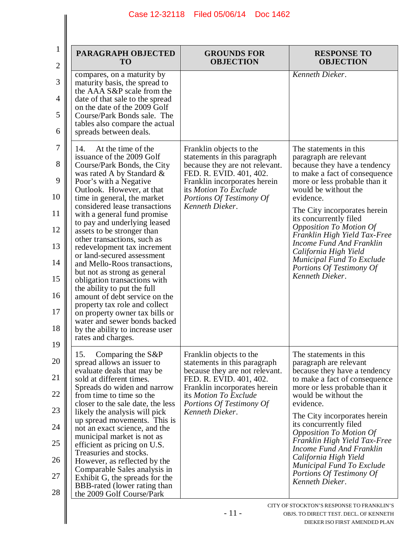$\mathsf{I}$ 

 $\mathsf{l}$ 

| PARAGRAPH OBJECTED<br><b>TO</b>                                                                                                                                                                                                                                                                                                                                                                                                                                                                                                                                                                                                                                                                                                                                | <b>GROUNDS FOR</b><br><b>OBJECTION</b>                                                                                                                                                                                       | <b>RESPONSE TO</b><br><b>OBJECTION</b>                                                                                                                                                                                                                                                                                                                                                                                                                      |
|----------------------------------------------------------------------------------------------------------------------------------------------------------------------------------------------------------------------------------------------------------------------------------------------------------------------------------------------------------------------------------------------------------------------------------------------------------------------------------------------------------------------------------------------------------------------------------------------------------------------------------------------------------------------------------------------------------------------------------------------------------------|------------------------------------------------------------------------------------------------------------------------------------------------------------------------------------------------------------------------------|-------------------------------------------------------------------------------------------------------------------------------------------------------------------------------------------------------------------------------------------------------------------------------------------------------------------------------------------------------------------------------------------------------------------------------------------------------------|
| compares, on a maturity by<br>maturity basis, the spread to<br>the AAA S&P scale from the<br>date of that sale to the spread<br>on the date of the 2009 Golf<br>Course/Park Bonds sale. The<br>tables also compare the actual<br>spreads between deals.                                                                                                                                                                                                                                                                                                                                                                                                                                                                                                        |                                                                                                                                                                                                                              | Kenneth Dieker.                                                                                                                                                                                                                                                                                                                                                                                                                                             |
| At the time of the<br>14.<br>issuance of the 2009 Golf<br>Course/Park Bonds, the City<br>was rated A by Standard &<br>Poor's with a Negative<br>Outlook. However, at that<br>time in general, the market<br>considered lease transactions<br>with a general fund promise<br>to pay and underlying leased<br>assets to be stronger than<br>other transactions, such as<br>redevelopment tax increment<br>or land-secured assessment<br>and Mello-Roos transactions,<br>but not as strong as general<br>obligation transactions with<br>the ability to put the full<br>amount of debt service on the<br>property tax role and collect<br>on property owner tax bills or<br>water and sewer bonds backed<br>by the ability to increase user<br>rates and charges. | Franklin objects to the<br>statements in this paragraph<br>because they are not relevant.<br>FED. R. EVID. 401, 402.<br>Franklin incorporates herein<br>its Motion To Exclude<br>Portions Of Testimony Of<br>Kenneth Dieker. | The statements in this<br>paragraph are relevant<br>because they have a tendency<br>to make a fact of consequence<br>more or less probable than it<br>would be without the<br>evidence.<br>The City incorporates herein<br>its concurrently filed<br><b>Opposition To Motion Of</b><br>Franklin High Yield Tax-Free<br>Income Fund And Franklin<br>California High Yield<br>Municipal Fund To Exclude<br>Portions Of Testimony Of<br>Kenneth Dieker.        |
| Comparing the S&P<br>15.<br>spread allows an issuer to<br>evaluate deals that may be<br>sold at different times.<br>Spreads do widen and narrow<br>from time to time so the<br>closer to the sale date, the less<br>likely the analysis will pick<br>up spread movements. This is<br>not an exact science, and the<br>municipal market is not as<br>efficient as pricing on U.S.<br>Treasuries and stocks.<br>However, as reflected by the<br>Comparable Sales analysis in<br>Exhibit G, the spreads for the<br>BBB-rated (lower rating than<br>the 2009 Golf Course/Park                                                                                                                                                                                      | Franklin objects to the<br>statements in this paragraph<br>because they are not relevant.<br>FED. R. EVID. 401, 402.<br>Franklin incorporates herein<br>its Motion To Exclude<br>Portions Of Testimony Of<br>Kenneth Dieker. | The statements in this<br>paragraph are relevant<br>because they have a tendency<br>to make a fact of consequence<br>more or less probable than it<br>would be without the<br>evidence.<br>The City incorporates herein<br>its concurrently filed<br><b>Opposition To Motion Of</b><br>Franklin High Yield Tax-Free<br>Income Fund And Franklin<br>California High Yield<br><b>Municipal Fund To Exclude</b><br>Portions Of Testimony Of<br>Kenneth Dieker. |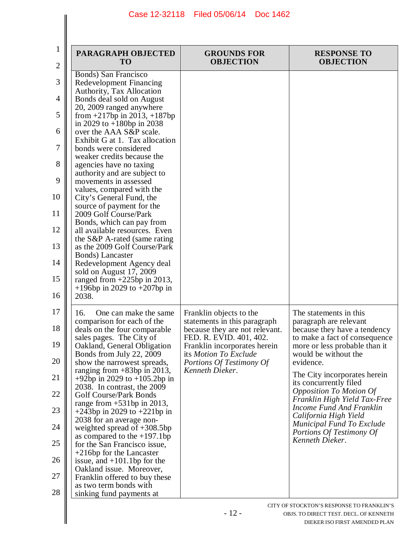| 1<br>2                                                               | PARAGRAPH OBJECTED<br><b>TO</b>                                                                                                                                                                                                                                                                                                                                                                                                                                                                                                                                                                                                                                                                                                           | <b>GROUNDS FOR</b><br><b>OBJECTION</b>                                                                                                                                                                                       | <b>RESPONSE TO</b><br><b>OBJECTION</b>                                                                                                                                                                                                                                                                                                                                                                                                                |
|----------------------------------------------------------------------|-------------------------------------------------------------------------------------------------------------------------------------------------------------------------------------------------------------------------------------------------------------------------------------------------------------------------------------------------------------------------------------------------------------------------------------------------------------------------------------------------------------------------------------------------------------------------------------------------------------------------------------------------------------------------------------------------------------------------------------------|------------------------------------------------------------------------------------------------------------------------------------------------------------------------------------------------------------------------------|-------------------------------------------------------------------------------------------------------------------------------------------------------------------------------------------------------------------------------------------------------------------------------------------------------------------------------------------------------------------------------------------------------------------------------------------------------|
| 3<br>4<br>5<br>6<br>7<br>8<br>9                                      | Bonds) San Francisco<br>Redevelopment Financing<br>Authority, Tax Allocation<br>Bonds deal sold on August<br>20, 2009 ranged anywhere<br>from $+217$ bp in 2013, $+187$ bp<br>in 2029 to $+180$ bp in 2038<br>over the AAA S&P scale.<br>Exhibit G at 1. Tax allocation<br>bonds were considered<br>weaker credits because the<br>agencies have no taxing<br>authority and are subject to<br>movements in assessed<br>values, compared with the                                                                                                                                                                                                                                                                                           |                                                                                                                                                                                                                              |                                                                                                                                                                                                                                                                                                                                                                                                                                                       |
| 10<br>11<br>12<br>13<br>14<br>15<br>16                               | City's General Fund, the<br>source of payment for the<br>2009 Golf Course/Park<br>Bonds, which can pay from<br>all available resources. Even<br>the S&P A-rated (same rating<br>as the 2009 Golf Course/Park<br><b>Bonds</b> ) Lancaster<br>Redevelopment Agency deal<br>sold on August 17, 2009<br>ranged from $+225$ bp in 2013,<br>$+196$ in 2029 to $+207$ bp in<br>2038.                                                                                                                                                                                                                                                                                                                                                             |                                                                                                                                                                                                                              |                                                                                                                                                                                                                                                                                                                                                                                                                                                       |
| 17<br>18<br>19<br>20<br>21<br>22<br>23<br>24<br>25<br>26<br>27<br>28 | One can make the same<br>16.<br>comparison for each of the<br>deals on the four comparable<br>sales pages. The City of<br>Oakland, General Obligation<br>Bonds from July 22, 2009<br>show the narrowest spreads,<br>ranging from $+83bp$ in 2013,<br>$+92bp$ in 2029 to $+105.2bp$ in<br>2038. In contrast, the 2009<br><b>Golf Course/Park Bonds</b><br>range from $+531$ bp in 2013,<br>+243bp in 2029 to +221bp in<br>2038 for an average non-<br>weighted spread of $+308.5$ bp<br>as compared to the $+197.1$ bp<br>for the San Francisco issue,<br>$+216$ bp for the Lancaster<br>issue, and $+101.1$ bp for the<br>Oakland issue. Moreover,<br>Franklin offered to buy these<br>as two term bonds with<br>sinking fund payments at | Franklin objects to the<br>statements in this paragraph<br>because they are not relevant.<br>FED. R. EVID. 401, 402.<br>Franklin incorporates herein<br>its Motion To Exclude<br>Portions Of Testimony Of<br>Kenneth Dieker. | The statements in this.<br>paragraph are relevant<br>because they have a tendency<br>to make a fact of consequence<br>more or less probable than it<br>would be without the<br>evidence.<br>The City incorporates herein<br>its concurrently filed<br><b>Opposition To Motion Of</b><br>Franklin High Yield Tax-Free<br>Income Fund And Franklin<br>California High Yield<br>Municipal Fund To Exclude<br>Portions Of Testimony Of<br>Kenneth Dieker. |
|                                                                      |                                                                                                                                                                                                                                                                                                                                                                                                                                                                                                                                                                                                                                                                                                                                           | $-12-$                                                                                                                                                                                                                       | CITY OF STOCKTON'S RESPONSE TO FRANKLIN'S<br>OBJS. TO DIRECT TEST. DECL. OF KENNETH<br>DIEKER ISO EIRST AMENDED PLAN                                                                                                                                                                                                                                                                                                                                  |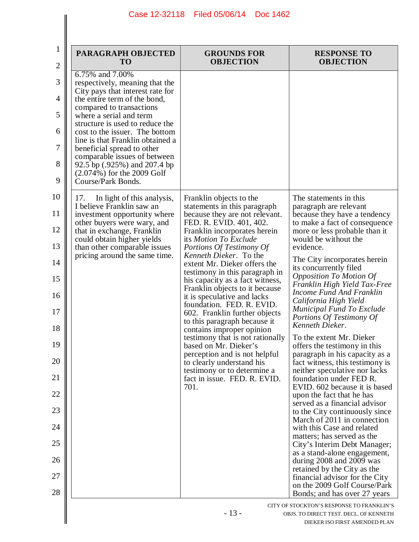$\overline{\phantom{a}}$ 

| PARAGRAPH OBJECTED<br><b>TO</b>                                                                                                                                                                                                                                                                                                                                                                                                           | <b>GROUNDS FOR</b><br><b>OBJECTION</b>                                                                                                                                                                                                                                                                                                                                                                                                                                                                                                                                                                                                                                                                                                 | <b>RESPONSE TO</b><br><b>OBJECTION</b>                                                                                                                                                                                                                                                                                                                                                                                                                                                                                                                                                                                                                                                                                                                                                                                                                                                                                                                                                                                                                                                                     |
|-------------------------------------------------------------------------------------------------------------------------------------------------------------------------------------------------------------------------------------------------------------------------------------------------------------------------------------------------------------------------------------------------------------------------------------------|----------------------------------------------------------------------------------------------------------------------------------------------------------------------------------------------------------------------------------------------------------------------------------------------------------------------------------------------------------------------------------------------------------------------------------------------------------------------------------------------------------------------------------------------------------------------------------------------------------------------------------------------------------------------------------------------------------------------------------------|------------------------------------------------------------------------------------------------------------------------------------------------------------------------------------------------------------------------------------------------------------------------------------------------------------------------------------------------------------------------------------------------------------------------------------------------------------------------------------------------------------------------------------------------------------------------------------------------------------------------------------------------------------------------------------------------------------------------------------------------------------------------------------------------------------------------------------------------------------------------------------------------------------------------------------------------------------------------------------------------------------------------------------------------------------------------------------------------------------|
| 6.75% and 7.00%<br>respectively, meaning that the<br>City pays that interest rate for<br>the entire term of the bond,<br>compared to transactions<br>where a serial and term<br>structure is used to reduce the<br>cost to the issuer. The bottom<br>line is that Franklin obtained a<br>beneficial spread to other<br>comparable issues of between<br>92.5 bp (.925%) and 207.4 bp<br>$(2.074%)$ for the 2009 Golf<br>Course/Park Bonds. |                                                                                                                                                                                                                                                                                                                                                                                                                                                                                                                                                                                                                                                                                                                                        |                                                                                                                                                                                                                                                                                                                                                                                                                                                                                                                                                                                                                                                                                                                                                                                                                                                                                                                                                                                                                                                                                                            |
| In light of this analysis,<br>17.<br>I believe Franklin saw an<br>investment opportunity where<br>other buyers were wary, and<br>that in exchange, Franklin<br>could obtain higher yields<br>than other comparable issues<br>pricing around the same time.                                                                                                                                                                                | Franklin objects to the<br>statements in this paragraph<br>because they are not relevant.<br>FED. R. EVID. 401, 402.<br>Franklin incorporates herein<br>its Motion To Exclude<br>Portions Of Testimony Of<br>Kenneth Dieker. To the<br>extent Mr. Dieker offers the<br>testimony in this paragraph in<br>his capacity as a fact witness,<br>Franklin objects to it because<br>it is speculative and lacks<br>foundation. FED. R. EVID.<br>602. Franklin further objects<br>to this paragraph because it<br>contains improper opinion<br>testimony that is not rationally<br>based on Mr. Dieker's<br>perception and is not helpful<br>to clearly understand his<br>testimony or to determine a<br>fact in issue. FED. R. EVID.<br>701. | The statements in this<br>paragraph are relevant<br>because they have a tendency<br>to make a fact of consequence<br>more or less probable than it<br>would be without the<br>evidence.<br>The City incorporates herein<br>its concurrently filed<br><b>Opposition To Motion Of</b><br>Franklin High Yield Tax-Free<br>Income Fund And Franklin<br>California High Yield<br>Municipal Fund To Exclude<br>Portions Of Testimony Of<br>Kenneth Dieker.<br>To the extent Mr. Dieker<br>offers the testimony in this<br>paragraph in his capacity as a<br>fact witness, this testimony is<br>neither speculative nor lacks<br>foundation under FED R.<br>EVID. 602 because it is based<br>upon the fact that he has<br>served as a financial advisor<br>to the City continuously since<br>March of 2011 in connection<br>with this Case and related<br>matters; has served as the<br>City's Interim Debt Manager;<br>as a stand-alone engagement,<br>during 2008 and 2009 was<br>retained by the City as the<br>financial advisor for the City<br>on the 2009 Golf Course/Park<br>Bonds; and has over 27 years |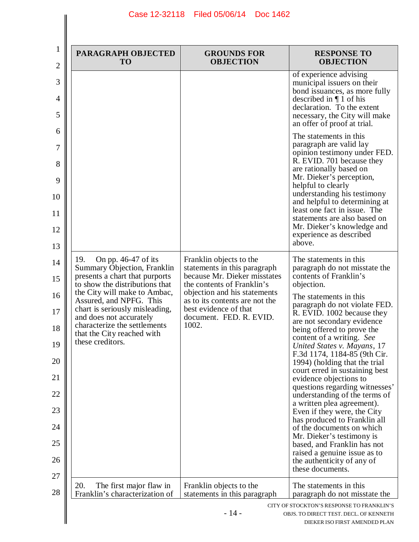$\parallel$ 

| PARAGRAPH OBJECTED<br><b>TO</b>                                                           | <b>GROUNDS FOR</b><br><b>OBJECTION</b>                                                  | <b>RESPONSE TO</b><br><b>OBJECTION</b>                                                                                                                                                                            |
|-------------------------------------------------------------------------------------------|-----------------------------------------------------------------------------------------|-------------------------------------------------------------------------------------------------------------------------------------------------------------------------------------------------------------------|
|                                                                                           |                                                                                         | of experience advising<br>municipal issuers on their<br>bond issuances, as more fully<br>described in $\P$ 1 of his<br>declaration. To the extent<br>necessary, the City will make<br>an offer of proof at trial. |
|                                                                                           |                                                                                         | The statements in this<br>paragraph are valid lay<br>opinion testimony under FED.<br>R. EVID. 701 because they                                                                                                    |
|                                                                                           |                                                                                         | are rationally based on<br>Mr. Dieker's perception,<br>helpful to clearly                                                                                                                                         |
|                                                                                           |                                                                                         | understanding his testimony<br>and helpful to determining at<br>least one fact in issue. The                                                                                                                      |
|                                                                                           |                                                                                         | statements are also based on<br>Mr. Dieker's knowledge and                                                                                                                                                        |
|                                                                                           |                                                                                         | experience as described<br>above.                                                                                                                                                                                 |
| 19.<br>On pp. $46-47$ of its<br>Summary Objection, Franklin                               | Franklin objects to the<br>statements in this paragraph                                 | The statements in this<br>paragraph do not misstate the                                                                                                                                                           |
| presents a chart that purports<br>to show the distributions that                          | because Mr. Dieker misstates<br>the contents of Franklin's                              | contents of Franklin's<br>objection.                                                                                                                                                                              |
| the City will make to Ambac,<br>Assured, and NPFG. This<br>chart is seriously misleading, | objection and his statements<br>as to its contents are not the<br>best evidence of that | The statements in this<br>paragraph do not violate FED.<br>R. EVID. 1002 because they                                                                                                                             |
| and does not accurately<br>characterize the settlements<br>that the City reached with     | document. FED. R. EVID.<br>1002.                                                        | are not secondary evidence<br>being offered to prove the                                                                                                                                                          |
| these creditors.                                                                          |                                                                                         | content of a writing. See<br>United States v. Mayans, 17<br>F.3d 1174, 1184-85 (9th Cir.                                                                                                                          |
|                                                                                           |                                                                                         | 1994) (holding that the trial<br>court erred in sustaining best                                                                                                                                                   |
|                                                                                           |                                                                                         | evidence objections to<br>questions regarding witnesses'                                                                                                                                                          |
|                                                                                           |                                                                                         | understanding of the terms of<br>a written plea agreement).<br>Even if they were, the City                                                                                                                        |
|                                                                                           |                                                                                         | has produced to Franklin all<br>of the documents on which                                                                                                                                                         |
|                                                                                           |                                                                                         | Mr. Dieker's testimony is<br>based, and Franklin has not<br>raised a genuine issue as to                                                                                                                          |
|                                                                                           |                                                                                         | the authenticity of any of<br>these documents.                                                                                                                                                                    |
| 20.<br>The first major flaw in<br>Franklin's characterization of                          | Franklin objects to the<br>statements in this paragraph                                 | The statements in this.<br>paragraph do not misstate the                                                                                                                                                          |
|                                                                                           | $-14-$                                                                                  | CITY OF STOCKTON'S RESPONSE TO FRANKLIN'S<br>OBJS. TO DIRECT TEST. DECL. OF KENNETH<br>DIEKER ISO FIRST AMENDED PLAN                                                                                              |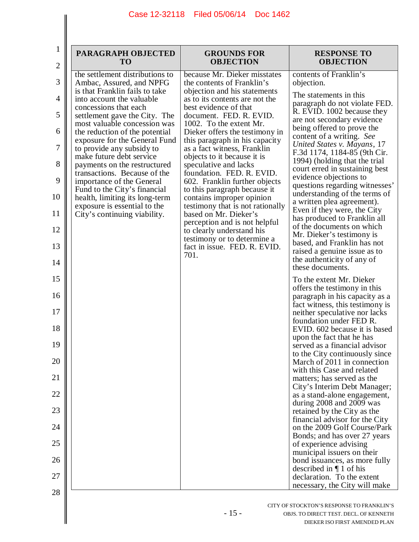| $\mathbf 1$<br>$\overline{2}$ | PARAGRAPH OBJECTED<br><b>TO</b>                                                       | <b>GROUNDS FOR</b><br><b>OBJECTION</b>                                                     | <b>RESPONSE TO</b><br><b>OBJECTION</b>                                                        |
|-------------------------------|---------------------------------------------------------------------------------------|--------------------------------------------------------------------------------------------|-----------------------------------------------------------------------------------------------|
| 3                             | the settlement distributions to<br>Ambac, Assured, and NPFG                           | because Mr. Dieker misstates<br>the contents of Franklin's                                 | contents of Franklin's<br>objection.                                                          |
| 4                             | is that Franklin fails to take<br>into account the valuable<br>concessions that each  | objection and his statements<br>as to its contents are not the<br>best evidence of that    | The statements in this<br>paragraph do not violate FED.                                       |
| 5                             | settlement gave the City. The<br>most valuable concession was                         | document. FED. R. EVID.<br>1002. To the extent Mr.                                         | R. EVID. 1002 because they<br>are not secondary evidence<br>being offered to prove the        |
| 6<br>7                        | the reduction of the potential<br>exposure for the General Fund                       | Dieker offers the testimony in<br>this paragraph in his capacity                           | content of a writing. See<br>United States v. Mayans, 17                                      |
| 8                             | to provide any subsidy to<br>make future debt service<br>payments on the restructured | as a fact witness, Franklin<br>objects to it because it is<br>speculative and lacks        | F.3d 1174, 1184-85 (9th Cir.<br>1994) (holding that the trial                                 |
| 9                             | transactions. Because of the<br>importance of the General                             | foundation. FED. R. EVID.<br>602. Franklin further objects                                 | court erred in sustaining best<br>evidence objections to                                      |
| 10                            | Fund to the City's financial<br>health, limiting its long-term                        | to this paragraph because it<br>contains improper opinion                                  | questions regarding witnesses'<br>understanding of the terms of<br>a written plea agreement). |
| 11                            | exposure is essential to the<br>City's continuing viability.                          | testimony that is not rationally<br>based on Mr. Dieker's<br>perception and is not helpful | Even if they were, the City<br>has produced to Franklin all                                   |
| 12                            |                                                                                       | to clearly understand his<br>testimony or to determine a                                   | of the documents on which<br>Mr. Dieker's testimony is<br>based, and Franklin has not         |
| 13<br>14                      |                                                                                       | fact in issue. FED. R. EVID.<br>701.                                                       | raised a genuine issue as to<br>the authenticity of any of                                    |
|                               |                                                                                       |                                                                                            | these documents.                                                                              |
| 15<br>16                      |                                                                                       |                                                                                            | To the extent Mr. Dieker<br>offers the testimony in this<br>paragraph in his capacity as a    |
| 17                            |                                                                                       |                                                                                            | fact witness, this testimony is<br>neither speculative nor lacks                              |
| 18                            |                                                                                       |                                                                                            | foundation under FED R.<br>EVID. 602 because it is based<br>upon the fact that he has         |
| 19                            |                                                                                       |                                                                                            | served as a financial advisor<br>to the City continuously since                               |
| 20                            |                                                                                       |                                                                                            | March of 2011 in connection<br>with this Case and related                                     |
| 21                            |                                                                                       |                                                                                            | matters; has served as the<br>City's Interim Debt Manager;                                    |
| 22                            |                                                                                       |                                                                                            | as a stand-alone engagement,<br>during 2008 and 2009 was                                      |
| 23                            |                                                                                       |                                                                                            | retained by the City as the<br>financial advisor for the City                                 |
| 24                            |                                                                                       |                                                                                            | on the 2009 Golf Course/Park<br>Bonds; and has over 27 years                                  |
| 25                            |                                                                                       |                                                                                            | of experience advising<br>municipal issuers on their                                          |
| 26                            |                                                                                       |                                                                                            | bond issuances, as more fully<br>described in $\P$ 1 of his                                   |
| 27                            |                                                                                       |                                                                                            | declaration. To the extent                                                                    |
| 28                            |                                                                                       |                                                                                            | necessary, the City will make                                                                 |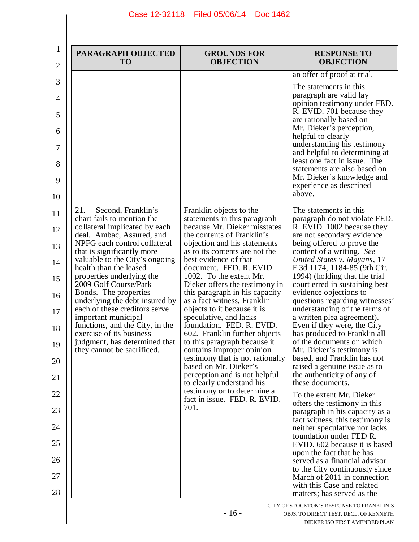$\left| \right|$ 

 $\overline{\phantom{a}}$ 

| PARAGRAPH OBJECTED<br><b>TO</b>                                                          | <b>GROUNDS FOR</b><br><b>OBJECTION</b>                                                     | <b>RESPONSE TO</b><br><b>OBJECTION</b>                                                                                                                                                                                                                                                                                                                                                         |
|------------------------------------------------------------------------------------------|--------------------------------------------------------------------------------------------|------------------------------------------------------------------------------------------------------------------------------------------------------------------------------------------------------------------------------------------------------------------------------------------------------------------------------------------------------------------------------------------------|
|                                                                                          |                                                                                            | an offer of proof at trial.                                                                                                                                                                                                                                                                                                                                                                    |
|                                                                                          |                                                                                            | The statements in this<br>paragraph are valid lay<br>opinion testimony under FED.<br>R. EVID. 701 because they<br>are rationally based on<br>Mr. Dieker's perception,<br>helpful to clearly<br>understanding his testimony<br>and helpful to determining at<br>least one fact in issue. The<br>statements are also based on<br>Mr. Dieker's knowledge and<br>experience as described<br>above. |
| 21.<br>Second, Franklin's                                                                | Franklin objects to the                                                                    | The statements in this.                                                                                                                                                                                                                                                                                                                                                                        |
| chart fails to mention the<br>collateral implicated by each<br>deal. Ambac, Assured, and | statements in this paragraph<br>because Mr. Dieker misstates<br>the contents of Franklin's | paragraph do not violate FED.<br>R. EVID. 1002 because they<br>are not secondary evidence                                                                                                                                                                                                                                                                                                      |
| NPFG each control collateral<br>that is significantly more                               | objection and his statements<br>as to its contents are not the                             | being offered to prove the<br>content of a writing. See                                                                                                                                                                                                                                                                                                                                        |
| valuable to the City's ongoing<br>health than the leased                                 | best evidence of that<br>document. FED. R. EVID.                                           | United States v. Mayans, 17<br>F.3d 1174, 1184-85 (9th Cir.                                                                                                                                                                                                                                                                                                                                    |
| properties underlying the<br>2009 Golf Course/Park                                       | 1002. To the extent Mr.<br>Dieker offers the testimony in                                  | 1994) (holding that the trial<br>court erred in sustaining best                                                                                                                                                                                                                                                                                                                                |
| Bonds. The properties<br>underlying the debt insured by                                  | this paragraph in his capacity<br>as a fact witness, Franklin                              | evidence objections to<br>questions regarding witnesses'                                                                                                                                                                                                                                                                                                                                       |
| each of these creditors serve<br>important municipal<br>functions, and the City, in the  | objects to it because it is<br>speculative, and lacks<br>foundation. FED. R. EVID.         | understanding of the terms of<br>a written plea agreement).<br>Even if they were, the City                                                                                                                                                                                                                                                                                                     |
| exercise of its business<br>judgment, has determined that                                | 602. Franklin further objects<br>to this paragraph because it                              | has produced to Franklin all<br>of the documents on which                                                                                                                                                                                                                                                                                                                                      |
| they cannot be sacrificed.                                                               | contains improper opinion<br>testimony that is not rationally                              | Mr. Dieker's testimony is<br>based, and Franklin has not                                                                                                                                                                                                                                                                                                                                       |
|                                                                                          | based on Mr. Dieker's<br>perception and is not helpful                                     | raised a genuine issue as to<br>the authenticity of any of                                                                                                                                                                                                                                                                                                                                     |
|                                                                                          | to clearly understand his<br>testimony or to determine a                                   | these documents.<br>To the extent Mr. Dieker                                                                                                                                                                                                                                                                                                                                                   |
|                                                                                          | fact in issue. FED. R. EVID.<br>701.                                                       | offers the testimony in this<br>paragraph in his capacity as a                                                                                                                                                                                                                                                                                                                                 |
|                                                                                          |                                                                                            | fact witness, this testimony is<br>neither speculative nor lacks                                                                                                                                                                                                                                                                                                                               |
|                                                                                          |                                                                                            | foundation under FED R.<br>EVID. 602 because it is based                                                                                                                                                                                                                                                                                                                                       |
|                                                                                          |                                                                                            | upon the fact that he has<br>served as a financial advisor                                                                                                                                                                                                                                                                                                                                     |
|                                                                                          |                                                                                            | to the City continuously since<br>March of 2011 in connection                                                                                                                                                                                                                                                                                                                                  |
|                                                                                          |                                                                                            | with this Case and related<br>matters; has served as the                                                                                                                                                                                                                                                                                                                                       |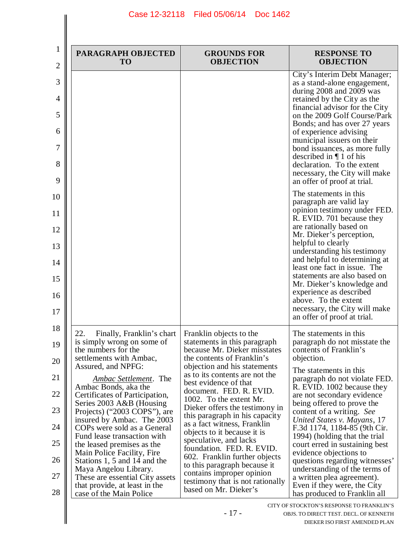| 1<br>2                                                         | PARAGRAPH OBJECTED<br><b>TO</b>                                                                                                                                                                                                                                                                                                                                                                                                                                                                                                                                                                       | <b>GROUNDS FOR</b><br><b>OBJECTION</b>                                                                                                                                                                                                                                                                                                                                                                                                                                                                                                                                                                                     | <b>RESPONSE TO</b><br><b>OBJECTION</b>                                                                                                                                                                                                                                                                                                                                                                                                                                                                                                                                                                         |
|----------------------------------------------------------------|-------------------------------------------------------------------------------------------------------------------------------------------------------------------------------------------------------------------------------------------------------------------------------------------------------------------------------------------------------------------------------------------------------------------------------------------------------------------------------------------------------------------------------------------------------------------------------------------------------|----------------------------------------------------------------------------------------------------------------------------------------------------------------------------------------------------------------------------------------------------------------------------------------------------------------------------------------------------------------------------------------------------------------------------------------------------------------------------------------------------------------------------------------------------------------------------------------------------------------------------|----------------------------------------------------------------------------------------------------------------------------------------------------------------------------------------------------------------------------------------------------------------------------------------------------------------------------------------------------------------------------------------------------------------------------------------------------------------------------------------------------------------------------------------------------------------------------------------------------------------|
| 3<br>4<br>5<br>6<br>7<br>8<br>9                                |                                                                                                                                                                                                                                                                                                                                                                                                                                                                                                                                                                                                       |                                                                                                                                                                                                                                                                                                                                                                                                                                                                                                                                                                                                                            | City's Interim Debt Manager;<br>as a stand-alone engagement,<br>during 2008 and 2009 was<br>retained by the City as the<br>financial advisor for the City<br>on the 2009 Golf Course/Park<br>Bonds; and has over 27 years<br>of experience advising<br>municipal issuers on their<br>bond issuances, as more fully<br>described in $\P$ 1 of his<br>declaration. To the extent<br>necessary, the City will make<br>an offer of proof at trial.                                                                                                                                                                 |
| 10<br>11<br>12<br>13<br>14<br>15<br>16<br>17                   |                                                                                                                                                                                                                                                                                                                                                                                                                                                                                                                                                                                                       |                                                                                                                                                                                                                                                                                                                                                                                                                                                                                                                                                                                                                            | The statements in this.<br>paragraph are valid lay<br>opinion testimony under FED.<br>R. EVID. 701 because they<br>are rationally based on<br>Mr. Dieker's perception,<br>helpful to clearly<br>understanding his testimony<br>and helpful to determining at<br>least one fact in issue. The<br>statements are also based on<br>Mr. Dieker's knowledge and<br>experience as described<br>above. To the extent<br>necessary, the City will make<br>an offer of proof at trial.                                                                                                                                  |
| 18<br>19<br>20<br>21<br>22<br>23<br>24<br>25<br>26<br>27<br>28 | 22.<br>Finally, Franklin's chart<br>is simply wrong on some of<br>the numbers for the<br>settlements with Ambac,<br>Assured, and NPFG:<br>Ambac Settlement. The<br>Ambac Bonds, aka the<br>Certificates of Participation,<br>Series 2003 A&B (Housing<br>Projects) ("2003 COPS"), are<br>insured by Ambac. The 2003<br>COPs were sold as a General<br>Fund lease transaction with<br>the leased premises as the<br>Main Police Facility, Fire<br>Stations 1, 5 and 14 and the<br>Maya Angelou Library.<br>These are essential City assets<br>that provide, at least in the<br>case of the Main Police | Franklin objects to the<br>statements in this paragraph<br>because Mr. Dieker misstates<br>the contents of Franklin's<br>objection and his statements<br>as to its contents are not the<br>best evidence of that<br>document. FED. R. EVID.<br>1002. To the extent Mr.<br>Dieker offers the testimony in<br>this paragraph in his capacity<br>as a fact witness, Franklin<br>objects to it because it is<br>speculative, and lacks<br>foundation. FED. R. EVID.<br>602. Franklin further objects<br>to this paragraph because it<br>contains improper opinion<br>testimony that is not rationally<br>based on Mr. Dieker's | The statements in this.<br>paragraph do not misstate the<br>contents of Franklin's<br>objection.<br>The statements in this<br>paragraph do not violate FED.<br>R. EVID. 1002 because they<br>are not secondary evidence<br>being offered to prove the<br>content of a writing. See<br>United States v. Mayans, 17<br>F.3d 1174, 1184-85 (9th Cir.<br>1994) (holding that the trial<br>court erred in sustaining best<br>evidence objections to<br>questions regarding witnesses'<br>understanding of the terms of<br>a written plea agreement).<br>Even if they were, the City<br>has produced to Franklin all |
|                                                                |                                                                                                                                                                                                                                                                                                                                                                                                                                                                                                                                                                                                       | $-17-$                                                                                                                                                                                                                                                                                                                                                                                                                                                                                                                                                                                                                     | CITY OF STOCKTON'S RESPONSE TO FRANKLIN'S<br>OBJS. TO DIRECT TEST. DECL. OF KENNETH<br>DIEKER ISO FIRST AMENDED PLAN                                                                                                                                                                                                                                                                                                                                                                                                                                                                                           |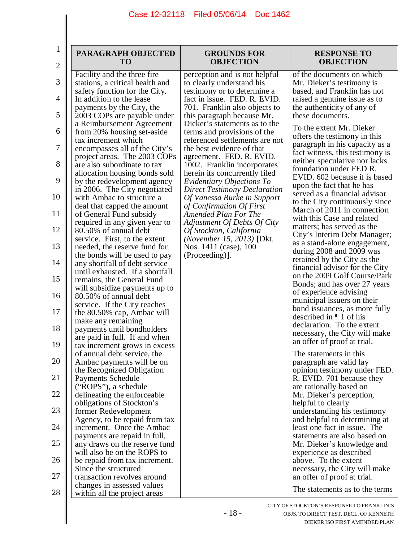$\parallel$ 

| $\bf{l}$<br>$\overline{c}$ | PARAGRAPH OBJECTED<br><b>TO</b>                                                                | <b>GROUNDS FOR</b><br><b>OBJECTION</b>                                                  | <b>RESPONSE TO</b><br><b>OBJECTION</b>                                                         |
|----------------------------|------------------------------------------------------------------------------------------------|-----------------------------------------------------------------------------------------|------------------------------------------------------------------------------------------------|
| 3                          | Facility and the three fire<br>stations, a critical health and                                 | perception and is not helpful<br>to clearly understand his                              | of the documents on which<br>Mr. Dieker's testimony is                                         |
| 4                          | safety function for the City.<br>In addition to the lease                                      | testimony or to determine a<br>fact in issue. FED. R. EVID.                             | based, and Franklin has not<br>raised a genuine issue as to                                    |
| 5                          | payments by the City, the<br>2003 COPs are payable under                                       | 701. Franklin also objects to<br>this paragraph because Mr.                             | the authenticity of any of<br>these documents.                                                 |
| 6                          | a Reimbursement Agreement<br>from 20% housing set-aside                                        | Dieker's statements as to the<br>terms and provisions of the                            | To the extent Mr. Dieker<br>offers the testimony in this                                       |
| 7                          | tax increment which<br>encompasses all of the City's<br>project areas. The 2003 COPs           | referenced settlements are not<br>the best evidence of that<br>agreement. FED. R. EVID. | paragraph in his capacity as a<br>fact witness, this testimony is                              |
| 8                          | are also subordinate to tax<br>allocation housing bonds sold                                   | 1002. Franklin incorporates<br>herein its concurrently filed                            | neither speculative nor lacks<br>foundation under FED R.                                       |
| 9                          | by the redevelopment agency<br>in 2006. The City negotiated                                    | Evidentiary Objections To<br><b>Direct Testimony Declaration</b>                        | EVID. 602 because it is based<br>upon the fact that he has                                     |
| 10                         | with Ambac to structure a<br>deal that capped the amount                                       | Of Vanessa Burke in Support<br>of Confirmation Of First                                 | served as a financial advisor<br>to the City continuously since<br>March of 2011 in connection |
| 11                         | of General Fund subsidy<br>required in any given year to                                       | Amended Plan For The<br>Adjustment Of Debts Of City                                     | with this Case and related<br>matters; has served as the                                       |
| 12<br>13                   | 80.50% of annual debt<br>service. First, to the extent                                         | Of Stockton, California<br>(November 15, 2013) [Dkt.                                    | City's Interim Debt Manager;<br>as a stand-alone engagement,                                   |
| 14                         | needed, the reserve fund for<br>the bonds will be used to pay<br>any shortfall of debt service | Nos. 1411 (case), 100<br>(Proceeding)].                                                 | during 2008 and 2009 was<br>retained by the City as the                                        |
| 15                         | until exhausted. If a shortfall<br>remains, the General Fund                                   |                                                                                         | financial advisor for the City<br>on the 2009 Golf Course/Park                                 |
| 16                         | will subsidize payments up to<br>80.50% of annual debt                                         |                                                                                         | Bonds; and has over 27 years<br>of experience advising                                         |
| 17                         | service. If the City reaches<br>the 80.50% cap, Ambac will                                     |                                                                                         | municipal issuers on their<br>bond issuances, as more fully                                    |
| 18                         | make any remaining<br>payments until bondholders<br>are paid in full. If and when              |                                                                                         | described in $\P$ 1 of his<br>declaration. To the extent<br>necessary, the City will make      |
| 19                         | tax increment grows in excess<br>of annual debt service, the                                   |                                                                                         | an offer of proof at trial.<br>The statements in this                                          |
| 20                         | Ambac payments will be on<br>the Recognized Obligation                                         |                                                                                         | paragraph are valid lay<br>opinion testimony under FED.                                        |
| 21                         | <b>Payments Schedule</b><br>("ROPS"), a schedule                                               |                                                                                         | R. EVID. 701 because they<br>are rationally based on                                           |
| 22                         | delineating the enforceable<br>obligations of Stockton's                                       |                                                                                         | Mr. Dieker's perception,<br>helpful to clearly                                                 |
| 23                         | former Redevelopment<br>Agency, to be repaid from tax                                          |                                                                                         | understanding his testimony<br>and helpful to determining at                                   |
| 24                         | increment. Once the Ambac<br>payments are repaid in full,                                      |                                                                                         | least one fact in issue. The<br>statements are also based on                                   |
| 25                         | any draws on the reserve fund<br>will also be on the ROPS to                                   |                                                                                         | Mr. Dieker's knowledge and<br>experience as described                                          |
| 26                         | be repaid from tax increment.<br>Since the structured                                          |                                                                                         | above. To the extent<br>necessary, the City will make                                          |
| 27                         | transaction revolves around<br>changes in assessed values                                      |                                                                                         | an offer of proof at trial.<br>The statements as to the terms                                  |
| 28                         | within all the project areas                                                                   |                                                                                         |                                                                                                |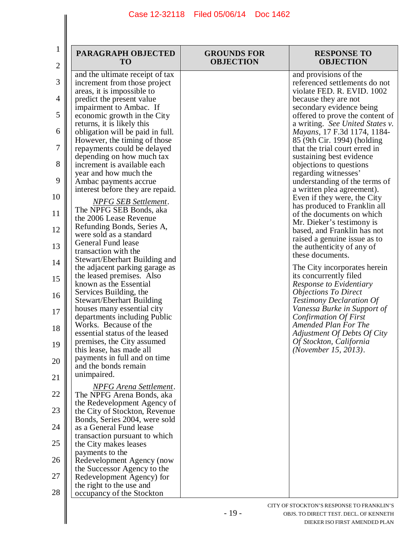| $\overline{c}$ | PARAGRAPH OBJECTED<br><b>TO</b>                                 | <b>GROUNDS FOR</b><br><b>OBJECTION</b> | <b>RESPONSE TO</b><br><b>OBJECTION</b>                         |
|----------------|-----------------------------------------------------------------|----------------------------------------|----------------------------------------------------------------|
|                | and the ultimate receipt of tax                                 |                                        | and provisions of the                                          |
| 3              | increment from those project<br>areas, it is impossible to      |                                        | referenced settlements do not<br>violate FED. R. EVID. 1002    |
|                | predict the present value                                       |                                        | because they are not                                           |
|                | impairment to Ambac. If                                         |                                        | secondary evidence being                                       |
|                | economic growth in the City                                     |                                        | offered to prove the content of                                |
|                | returns, it is likely this<br>obligation will be paid in full.  |                                        | a writing. See United States v.<br>Mayans, 17 F.3d 1174, 1184- |
|                | However, the timing of those<br>repayments could be delayed     |                                        | 85 (9th Cir. 1994) (holding<br>that the trial court erred in   |
|                | depending on how much tax<br>increment is available each        |                                        | sustaining best evidence<br>objections to questions            |
|                | year and how much the                                           |                                        | regarding witnesses'                                           |
|                | Ambac payments accrue<br>interest before they are repaid.       |                                        | understanding of the terms of<br>a written plea agreement).    |
|                | <b>NPFG SEB Settlement.</b>                                     |                                        | Even if they were, the City                                    |
|                | The NPFG SEB Bonds, aka                                         |                                        | has produced to Franklin all<br>of the documents on which      |
|                | the 2006 Lease Revenue<br>Refunding Bonds, Series A,            |                                        | Mr. Dieker's testimony is                                      |
|                | were sold as a standard                                         |                                        | based, and Franklin has not                                    |
|                | General Fund lease                                              |                                        | raised a genuine issue as to<br>the authenticity of any of     |
|                | transaction with the                                            |                                        | these documents.                                               |
|                | Stewart/Eberhart Building and<br>the adjacent parking garage as |                                        | The City incorporates herein                                   |
|                | the leased premises. Also                                       |                                        | its concurrently filed                                         |
|                | known as the Essential                                          |                                        | Response to Evidentiary                                        |
|                | Services Building, the                                          |                                        | <b>Objections To Direct</b>                                    |
|                | <b>Stewart/Eberhart Building</b><br>houses many essential city  |                                        | <b>Testimony Declaration Of</b><br>Vanessa Burke in Support of |
|                | departments including Public                                    |                                        | Confirmation Of First                                          |
|                | Works. Because of the                                           |                                        | Amended Plan For The                                           |
|                | essential status of the leased                                  |                                        | Adjustment Of Debts Of City                                    |
|                | premises, the City assumed<br>this lease, has made all          |                                        | Of Stockton, California<br>(November 15, 2013).                |
|                | payments in full and on time                                    |                                        |                                                                |
|                | and the bonds remain                                            |                                        |                                                                |
|                | unimpaired.                                                     |                                        |                                                                |
|                | <b>NPFG</b> Arena Settlement.                                   |                                        |                                                                |
|                | The NPFG Arena Bonds, aka                                       |                                        |                                                                |
|                | the Redevelopment Agency of<br>the City of Stockton, Revenue    |                                        |                                                                |
|                | Bonds, Series 2004, were sold                                   |                                        |                                                                |
|                | as a General Fund lease                                         |                                        |                                                                |
|                | transaction pursuant to which<br>the City makes leases          |                                        |                                                                |
|                | payments to the                                                 |                                        |                                                                |
|                | Redevelopment Agency (now                                       |                                        |                                                                |
|                | the Successor Agency to the                                     |                                        |                                                                |
|                | Redevelopment Agency) for                                       |                                        |                                                                |
|                | the right to the use and<br>occupancy of the Stockton           |                                        |                                                                |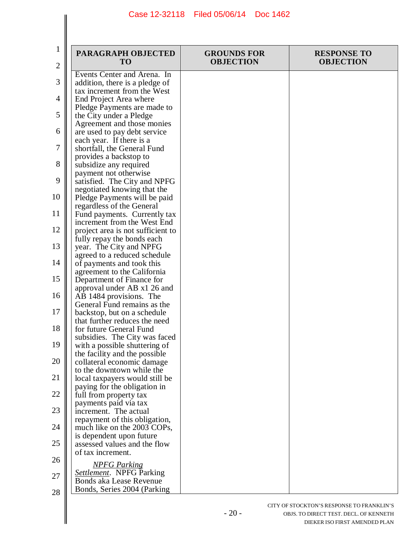$\mathsf{I}$ 

 $\parallel$ 

| $\mathbf 1$<br>$\mathbf{2}$ | PARAGRAPH OBJECTED<br><b>TO</b>                                                          | <b>GROUNDS FOR</b><br><b>OBJECTION</b> | <b>RESPONSE TO</b><br><b>OBJECTION</b> |
|-----------------------------|------------------------------------------------------------------------------------------|----------------------------------------|----------------------------------------|
| 3                           | Events Center and Arena. In<br>addition, there is a pledge of                            |                                        |                                        |
| 4                           | tax increment from the West<br>End Project Area where                                    |                                        |                                        |
| 5                           | Pledge Payments are made to<br>the City under a Pledge                                   |                                        |                                        |
| 6                           | Agreement and those monies<br>are used to pay debt service                               |                                        |                                        |
| 7                           | each year. If there is a<br>shortfall, the General Fund                                  |                                        |                                        |
| 8                           | provides a backstop to<br>subsidize any required                                         |                                        |                                        |
| 9                           | payment not otherwise<br>satisfied. The City and NPFG                                    |                                        |                                        |
| 10                          | negotiated knowing that the<br>Pledge Payments will be paid<br>regardless of the General |                                        |                                        |
| 11                          | Fund payments. Currently tax<br>increment from the West End                              |                                        |                                        |
| 12                          | project area is not sufficient to<br>fully repay the bonds each                          |                                        |                                        |
| 13                          | year. The City and NPFG<br>agreed to a reduced schedule                                  |                                        |                                        |
| 14                          | of payments and took this<br>agreement to the California                                 |                                        |                                        |
| 15                          | Department of Finance for<br>approval under AB x1 26 and                                 |                                        |                                        |
| 16                          | AB 1484 provisions. The<br>General Fund remains as the                                   |                                        |                                        |
| 17                          | backstop, but on a schedule<br>that further reduces the need                             |                                        |                                        |
| 18                          | for future General Fund<br>subsidies. The City was faced                                 |                                        |                                        |
| 19                          | with a possible shuttering of<br>the facility and the possible                           |                                        |                                        |
| 20                          | collateral economic damage<br>to the downtown while the                                  |                                        |                                        |
| 21                          | local taxpayers would still be<br>paying for the obligation in                           |                                        |                                        |
| 22                          | full from property tax<br>payments paid via tax                                          |                                        |                                        |
| 23                          | increment. The actual<br>repayment of this obligation,                                   |                                        |                                        |
| 24                          | much like on the 2003 COPs,<br>is dependent upon future                                  |                                        |                                        |
| 25                          | assessed values and the flow<br>of tax increment.                                        |                                        |                                        |
| 26                          | <b>NPFG Parking</b>                                                                      |                                        |                                        |
| 27                          | <b>Settlement.</b> NPFG Parking<br><b>Bonds aka Lease Revenue</b>                        |                                        |                                        |
| 28                          | Bonds, Series 2004 (Parking                                                              |                                        |                                        |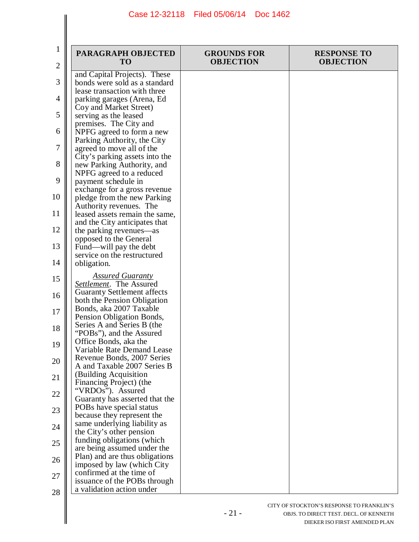| $\mathbf 1$<br>$\overline{2}$ | PARAGRAPH OBJECTED<br><b>TO</b>                                                          | <b>GROUNDS FOR</b><br><b>OBJECTION</b> | <b>RESPONSE TO</b><br><b>OBJECTION</b> |
|-------------------------------|------------------------------------------------------------------------------------------|----------------------------------------|----------------------------------------|
| 3                             | and Capital Projects). These<br>bonds were sold as a standard                            |                                        |                                        |
| 4                             | lease transaction with three<br>parking garages (Arena, Ed                               |                                        |                                        |
| 5                             | Coy and Market Street)<br>serving as the leased<br>premises. The City and                |                                        |                                        |
| 6                             | NPFG agreed to form a new<br>Parking Authority, the City                                 |                                        |                                        |
| 7                             | agreed to move all of the<br>City's parking assets into the                              |                                        |                                        |
| 8                             | new Parking Authority, and<br>NPFG agreed to a reduced                                   |                                        |                                        |
| 9                             | payment schedule in<br>exchange for a gross revenue                                      |                                        |                                        |
| 10<br>11                      | pledge from the new Parking<br>Authority revenues. The<br>leased assets remain the same, |                                        |                                        |
| 12                            | and the City anticipates that<br>the parking revenues—as                                 |                                        |                                        |
| 13                            | opposed to the General<br>Fund—will pay the debt                                         |                                        |                                        |
| 14                            | service on the restructured<br>obligation.                                               |                                        |                                        |
| 15                            | <b>Assured Guaranty</b><br>Settlement. The Assured                                       |                                        |                                        |
| 16                            | <b>Guaranty Settlement affects</b><br>both the Pension Obligation                        |                                        |                                        |
| 17                            | Bonds, aka 2007 Taxable<br>Pension Obligation Bonds,                                     |                                        |                                        |
| 18                            | Series A and Series B (the<br>"POBs"), and the Assured<br>Office Bonds, aka the          |                                        |                                        |
| 19                            | Variable Rate Demand Lease<br>Revenue Bonds, 2007 Series                                 |                                        |                                        |
| 20<br>21                      | A and Taxable 2007 Series B<br>(Building Acquisition                                     |                                        |                                        |
| 22                            | Financing Project) (the<br>"VRDOs"). Assured                                             |                                        |                                        |
| 23                            | Guaranty has asserted that the<br>POBs have special status                               |                                        |                                        |
| 24                            | because they represent the<br>same underlying liability as<br>the City's other pension   |                                        |                                        |
| 25                            | funding obligations (which<br>are being assumed under the                                |                                        |                                        |
| 26                            | Plan) and are thus obligations<br>imposed by law (which City                             |                                        |                                        |
| 27                            | confirmed at the time of<br>issuance of the POBs through                                 |                                        |                                        |
| 28                            | a validation action under                                                                |                                        |                                        |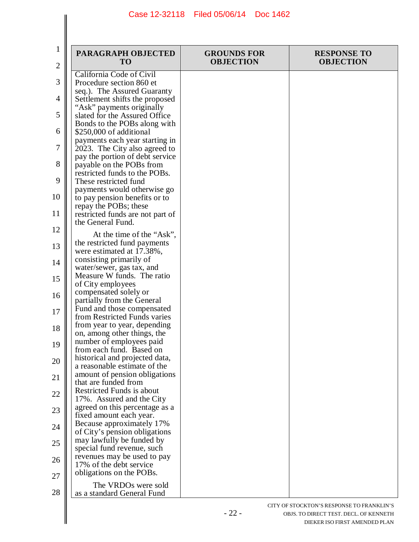| 1<br>2 | PARAGRAPH OBJECTED<br><b>TO</b>                                                          | <b>GROUNDS FOR</b><br><b>OBJECTION</b> | <b>RESPONSE TO</b><br><b>OBJECTION</b>    |
|--------|------------------------------------------------------------------------------------------|----------------------------------------|-------------------------------------------|
| 3      | California Code of Civil<br>Procedure section 860 et                                     |                                        |                                           |
|        | seq.). The Assured Guaranty                                                              |                                        |                                           |
| 4      | Settlement shifts the proposed                                                           |                                        |                                           |
| 5      | "Ask" payments originally<br>slated for the Assured Office                               |                                        |                                           |
| 6      | Bonds to the POBs along with<br>\$250,000 of additional                                  |                                        |                                           |
| 7      | payments each year starting in<br>2023. The City also agreed to                          |                                        |                                           |
| 8      | pay the portion of debt service<br>payable on the POBs from                              |                                        |                                           |
| 9      | restricted funds to the POBs.<br>These restricted fund                                   |                                        |                                           |
| 10     | payments would otherwise go<br>to pay pension benefits or to                             |                                        |                                           |
| 11     | repay the POBs; these<br>restricted funds are not part of                                |                                        |                                           |
| 12     | the General Fund.<br>At the time of the "Ask",                                           |                                        |                                           |
| 13     | the restricted fund payments<br>were estimated at 17.38%,                                |                                        |                                           |
| 14     | consisting primarily of<br>water/sewer, gas tax, and                                     |                                        |                                           |
| 15     | Measure W funds. The ratio<br>of City employees                                          |                                        |                                           |
| 16     | compensated solely or<br>partially from the General                                      |                                        |                                           |
| 17     | Fund and those compensated<br>from Restricted Funds varies                               |                                        |                                           |
| 18     | from year to year, depending                                                             |                                        |                                           |
| 19     | on, among other things, the<br>number of employees paid<br>from each fund. Based on      |                                        |                                           |
| 20     | historical and projected data,<br>a reasonable estimate of the                           |                                        |                                           |
| 21     | amount of pension obligations<br>that are funded from                                    |                                        |                                           |
| 22     | <b>Restricted Funds is about</b><br>17%. Assured and the City                            |                                        |                                           |
| 23     | agreed on this percentage as a                                                           |                                        |                                           |
| 24     | fixed amount each year.<br>Because approximately 17%                                     |                                        |                                           |
| 25     | of City's pension obligations<br>may lawfully be funded by<br>special fund revenue, such |                                        |                                           |
| 26     | revenues may be used to pay<br>17% of the debt service                                   |                                        |                                           |
| 27     | obligations on the POBs.                                                                 |                                        |                                           |
| 28     | The VRDOs were sold<br>as a standard General Fund                                        |                                        |                                           |
|        |                                                                                          |                                        | CITY OF STOCKTON'S RESPONSE TO FRANKLIN'S |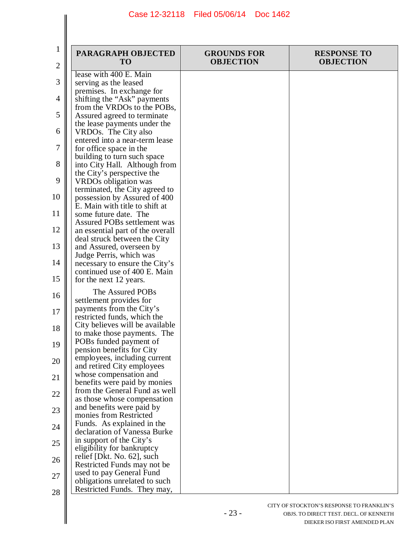| 1<br>2 | PARAGRAPH OBJECTED<br><b>TO</b>                                | <b>GROUNDS FOR</b><br><b>OBJECTION</b> | <b>RESPONSE TO</b><br><b>OBJECTION</b> |
|--------|----------------------------------------------------------------|----------------------------------------|----------------------------------------|
|        | lease with 400 E. Main                                         |                                        |                                        |
| 3      | serving as the leased                                          |                                        |                                        |
|        | premises. In exchange for                                      |                                        |                                        |
| 4      | shifting the "Ask" payments                                    |                                        |                                        |
|        | from the VRDOs to the POBs,                                    |                                        |                                        |
| 5      | Assured agreed to terminate                                    |                                        |                                        |
| 6      | the lease payments under the<br>VRDOs. The City also           |                                        |                                        |
|        | entered into a near-term lease                                 |                                        |                                        |
| 7      | for office space in the                                        |                                        |                                        |
|        | building to turn such space                                    |                                        |                                        |
| 8      | into City Hall. Although from                                  |                                        |                                        |
|        | the City's perspective the                                     |                                        |                                        |
| 9      | VRDOs obligation was                                           |                                        |                                        |
|        | terminated, the City agreed to                                 |                                        |                                        |
| 10     | possession by Assured of 400<br>E. Main with title to shift at |                                        |                                        |
| 11     | some future date. The                                          |                                        |                                        |
|        | Assured POBs settlement was                                    |                                        |                                        |
| 12     | an essential part of the overall                               |                                        |                                        |
|        | deal struck between the City                                   |                                        |                                        |
| 13     | and Assured, overseen by                                       |                                        |                                        |
|        | Judge Perris, which was                                        |                                        |                                        |
| 14     | necessary to ensure the City's                                 |                                        |                                        |
| 15     | continued use of 400 E. Main                                   |                                        |                                        |
|        | for the next 12 years.                                         |                                        |                                        |
| 16     | The Assured POBs                                               |                                        |                                        |
|        | settlement provides for                                        |                                        |                                        |
| 17     | payments from the City's                                       |                                        |                                        |
|        | restricted funds, which the<br>City believes will be available |                                        |                                        |
| 18     | to make those payments. The                                    |                                        |                                        |
| 19     | POBs funded payment of                                         |                                        |                                        |
|        | pension benefits for City                                      |                                        |                                        |
| 20     | employees, including current                                   |                                        |                                        |
|        | and retired City employees                                     |                                        |                                        |
| 21     | whose compensation and                                         |                                        |                                        |
|        | benefits were paid by monies<br>from the General Fund as well  |                                        |                                        |
| 22     | as those whose compensation                                    |                                        |                                        |
| 23     | and benefits were paid by                                      |                                        |                                        |
|        | monies from Restricted                                         |                                        |                                        |
| 24     | Funds. As explained in the                                     |                                        |                                        |
|        | declaration of Vanessa Burke                                   |                                        |                                        |
| 25     | in support of the City's                                       |                                        |                                        |
|        | eligibility for bankruptcy                                     |                                        |                                        |
| 26     | relief [Dkt. No. 62], such<br>Restricted Funds may not be      |                                        |                                        |
|        | used to pay General Fund                                       |                                        |                                        |
| 27     | obligations unrelated to such                                  |                                        |                                        |
| 28     | Restricted Funds. They may,                                    |                                        |                                        |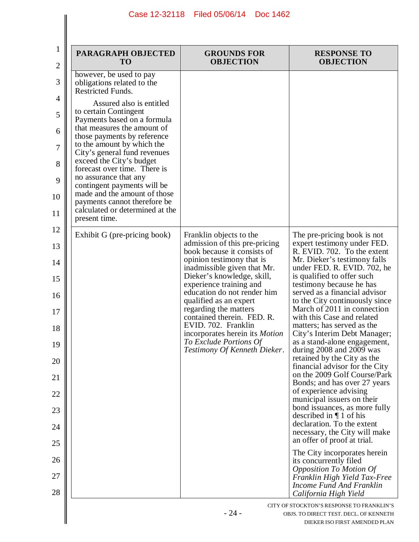$\parallel$ 

 $\parallel$ 

| $\mathbf{1}$<br>$\mathbf{2}$ | PARAGRAPH OBJECTED<br><b>TO</b>                                                          | <b>GROUNDS FOR</b><br><b>OBJECTION</b>                                                    | <b>RESPONSE TO</b><br><b>OBJECTION</b>                                                                                                        |
|------------------------------|------------------------------------------------------------------------------------------|-------------------------------------------------------------------------------------------|-----------------------------------------------------------------------------------------------------------------------------------------------|
| $\mathfrak{Z}$               | however, be used to pay<br>obligations related to the<br><b>Restricted Funds.</b>        |                                                                                           |                                                                                                                                               |
| 4<br>5                       | Assured also is entitled<br>to certain Contingent                                        |                                                                                           |                                                                                                                                               |
| 6                            | Payments based on a formula<br>that measures the amount of                               |                                                                                           |                                                                                                                                               |
| 7                            | those payments by reference<br>to the amount by which the                                |                                                                                           |                                                                                                                                               |
| 8                            | City's general fund revenues<br>exceed the City's budget<br>forecast over time. There is |                                                                                           |                                                                                                                                               |
| 9                            | no assurance that any<br>contingent payments will be                                     |                                                                                           |                                                                                                                                               |
| 10                           | made and the amount of those<br>payments cannot therefore be                             |                                                                                           |                                                                                                                                               |
| 11                           | calculated or determined at the<br>present time.                                         |                                                                                           |                                                                                                                                               |
| 12                           | Exhibit G (pre-pricing book)                                                             | Franklin objects to the                                                                   | The pre-pricing book is not                                                                                                                   |
| 13                           |                                                                                          | admission of this pre-pricing<br>book because it consists of<br>opinion testimony that is | expert testimony under FED.<br>R. EVID. 702. To the extent<br>Mr. Dieker's testimony falls                                                    |
| 14<br>15                     |                                                                                          | inadmissible given that Mr.<br>Dieker's knowledge, skill,                                 | under FED. R. EVID. 702, he<br>is qualified to offer such                                                                                     |
| 16                           |                                                                                          | experience training and<br>education do not render him                                    | testimony because he has<br>served as a financial advisor                                                                                     |
| 17                           |                                                                                          | qualified as an expert<br>regarding the matters<br>contained therein. FED. R.             | to the City continuously since<br>March of 2011 in connection<br>with this Case and related                                                   |
| 18                           |                                                                                          | EVID. 702. Franklin<br>incorporates herein its Motion                                     | matters; has served as the<br>City's Interim Debt Manager;                                                                                    |
| 19                           |                                                                                          | To Exclude Portions Of<br>Testimony Of Kenneth Dieker.                                    | as a stand-alone engagement,<br>during $2008$ and $2009$ was                                                                                  |
| 20                           |                                                                                          |                                                                                           | retained by the City as the<br>financial advisor for the City<br>on the 2009 Golf Course/Park                                                 |
| 21                           |                                                                                          |                                                                                           | Bonds; and has over 27 years<br>of experience advising                                                                                        |
| 22<br>23                     |                                                                                          |                                                                                           | municipal issuers on their<br>bond issuances, as more fully                                                                                   |
| 24                           |                                                                                          |                                                                                           | described in $\P$ 1 of his<br>declaration. To the extent                                                                                      |
| 25                           |                                                                                          |                                                                                           | necessary, the City will make<br>an offer of proof at trial.                                                                                  |
| 26                           |                                                                                          |                                                                                           | The City incorporates herein<br>its concurrently filed                                                                                        |
| 27<br>28                     |                                                                                          |                                                                                           | <b>Opposition To Motion Of</b><br>Franklin High Yield Tax-Free<br>Income Fund And Franklin                                                    |
|                              |                                                                                          | $-24-$                                                                                    | California High Yield<br>CITY OF STOCKTON'S RESPONSE TO FRANKLIN'S<br>OBJS. TO DIRECT TEST. DECL. OF KENNETH<br>DIEKER ISO FIRST AMENDED PLAN |